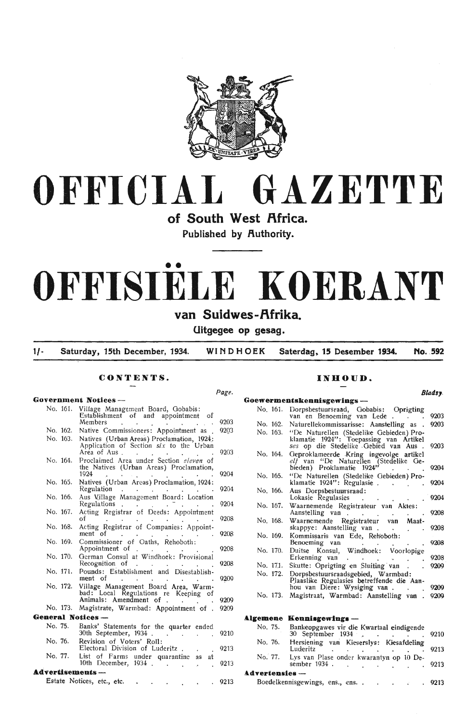

# **OFFICIAL GAZETTE**

of South West Africa.

**Published by Authority.** 

# •• **OFFISIELE KOERANT**

# **van Suidwes-f\frika.**

**Uitgegee op gesag.** 

**1/- Saturday, 15th December, 1934. WINDHOEK Saterdag. 15 Desember 1934. No .. . 592** 

**.l.dTertenaies** -

Boedelkennisgewings, ens., ens..

*Page.* 

#### **CONTENTS.**

#### **Government Notices** - No. 161. Village Management Board, Gobabis:<br>Establishment of and appointment of Members Establishment of and appointment of<br>
Members 9203<br>
Native Commissioners: Appointment as 9203 No. 162. Native Commissioners: Appointment as No. 163. Natives (Urban Areas) Proclamation, 1924: Application of Section *six* to the Urban Area of Aus . . . . . . . 9203 No. 164. Proclaimed Area under Section eleven of the Natives (Urban Areas) Proclamation,  $1924$  . . . . . . . 9204 No. 165. Natives (Urban Areas) Proclamation, 1924: Regulation . . . . . . . 9204 No. 166. Aus Village Management Board: Location Regulations . . . . . . . 9204 No. 167. Acting Registrar of Deeds: Appointment of  $\overline{9208}$ No. 168. Acting Registrar of Companies: Appointment of . . . . . . . . 9208 No. 169. Commissioner of Oaths, Rehoboth: Appointment of . . . . . . . . 9208 No. 170. German Consul at Windhoek: Provisional Recognition of . . . . . 9208 No. 171. Pounds: Establishment and Disestablishment of . . . . . . . . . . . 9209 No. 172. Village Management Board Area, Warm-<br>bad: Local Regulations re Keeping of Animals: Amendment of . . . . 9209 No. 173. Magistrate, Warmbad: Appointment of . 9209 **General Notices** - No. 75. Banks' Statements for the quarter ended 30th September, 1934. 9210  $\sim 10^{-1}$ No. 76. Revision of Voters' Roll: Electoral Division of Luderitz. 9213 No. 77. List of Farms under quarantine as at 10th December, 1934 . 9213 **Advertisements** -

|  | Estate Notices, etc., etc. |  |  |  |  |  |  |  |  | 9213 |
|--|----------------------------|--|--|--|--|--|--|--|--|------|
|--|----------------------------|--|--|--|--|--|--|--|--|------|

## **INUOUD.**

|          | <b>Bladsy</b> .                                                                                                                       |
|----------|---------------------------------------------------------------------------------------------------------------------------------------|
|          | Goewermentskennisgewings ---                                                                                                          |
| No. 161. | Dorpsbestuursraad, Gobabis: Oprigting<br>van en Benoeming van Lede.<br>9203                                                           |
| No. 162. | Naturellekommissarisse: Aanstelling as .<br>9203                                                                                      |
| No. 163. | "De Naturellen (Stedelike Gebieden) Pro-<br>klamatie 1924": Toepassing van<br>Artikel<br>ses op die Stedelike Gebied van Aus.<br>9203 |
| No. 164. | Geproklameerde Kring ingevolge artikel<br>elf van "De Naturellen (Stedelike Ge-<br>bieden) Proklamatie 1924'<br>9204                  |
| No. 165. | "De Naturellen (Stedelike Gebieden) Pro-<br>klamatie 1924": Regulasie.<br>9204                                                        |
| No. 166. | Aus Dorpsbestuursraad:<br>Lokasie Regulasies<br>9204                                                                                  |
| No. 167. | Waarnemende Registrateur van Aktes:<br>Aanstelling van<br>9208                                                                        |
| No. 168. | Waarnemende<br>Registrateur<br>Maat-<br>van<br>skappye: Aanstelling van.<br>9208                                                      |
| No. 169. | Kommissaris van Ede, Rehoboth:<br>Benoeming van<br>9208                                                                               |
| No. 170. | Duitse<br>Konsul, Windhoek: Voorlopige<br>Erkenning van<br>9208<br>$\sim 100$                                                         |
| No. 171. | Skutte: Oprigting en Sluiting van<br>9209                                                                                             |
| No. 172. | Dorpsbestuursraadsgebied, Warmbad:<br>Plaaslike Regulasies betreffende die Aan-<br>hou van Diere: Wysiging van .<br>9209              |
| No. 173. | Magistraat, Warmbad: Aanstelling van<br>9209                                                                                          |
| Algemene | $\bf$ Kennisgewings —                                                                                                                 |
| No. 75.  | Bankeopgawes vir die Kwartaal eindigende<br>30 September 1934<br>9210                                                                 |
| No. 76.  | Hersiening van Kieserslys: Kiesafdeling<br>Luderitz<br>9213                                                                           |
| No. 77.  | Lys van Plase onder kwarantyn op 10 De-<br>sember 1934 .<br>9213                                                                      |

9213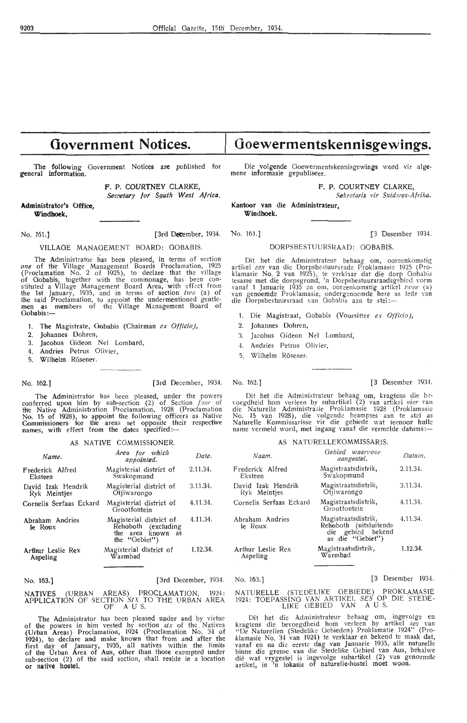# **Government Notices.**

The following Government Notices are published for general information.

**F. P. COURTNEY** CLARKE,

Secretary for Squth West Africa.

#### **Administrator's Office, Wiindhoek,**

## VILLAGE MANAGEMENT BOARD: GOBABIS. DORPSBESTUURSRAAD: OOBABIS.

The Administrator has been pleased, in terms of section one of the Village Management Boards Proclamation, 1925 (Proclamation No. 2 of  $1925$ ), to declare that the village of Gobabis, together with the commonage, has been constituted a Village Management Board Area, with effect from the 1st January, 1935, and in terms of section  $two$  (a) of the said Proclamation, to appoint the undermentioned gentle- men as members of the Village Management Board of Gobabis:-

- 1. The Magistrate, Gobabis (Chairman *ex Officio),*
- 
- 2. Johannes Dohren,<br>3. Jacobus Gideon Jacobus Gideon Nel Lombard,
- 4. Andries Petrus Olivier,
- 5. Wilhelm Rösener.
- 
- 

No. 162.] (3rd December, 1934. No. 162.] [3 Desember 1934.

The Administrator has been pleased, under the powers conferred upon him by sub-section (2) of Section  $f_{2llr}$  of the Native Administration Proclamation, 1928 (Proclamation No. 15 of 1928), to appoint the following officers as Native<br>Commissioners for the areas set opposite their respective names, with effect from the dates specified:-

#### AS NATIVE COMMISSIONER.

| Name.                              | Area for which<br>appointed.                                                           | Date.    |
|------------------------------------|----------------------------------------------------------------------------------------|----------|
| Frederick Alfred<br>Eksteen        | Magisterial district of<br>Swakopmund                                                  | 2.11.34. |
| David Izak Hendrik<br>Ryk Meintjes | Magisterial district of<br>Otjiwarongo                                                 | 3.11.34. |
| Cornelis Serfaas Eckard            | Magisterial district of<br>Grootfontein                                                | 4.11.34. |
| Abraham Andries<br>le Roux         | Magisterial district of<br>Rehoboth (excluding<br>the area known<br>as<br>the "Gebiet" | 4.11.34. |
| Arthur Leslie Rex<br>Aspeling      | Magisterial district of<br>Warmbad                                                     | 1.12.34. |

### No. 163.] [3rd December, 1934. No. 163.] [3 Desember 1934.

NATIVES (URBAN AREAS) PROCLAMATION, 1924:<br>APPLICATION OF SECTION *SIX* TO THE URBAN AREA<br>OF AUS.

The Administrator has been pleased under and by virtue of the powers in him vested by section *six* of the Natives (Urban Areas) Proclamation, 1924 (Proclamation No. 34 of 1924), to declare and make known that from and after the first day of January, 1935, all natives within the limits of the Urban Area of Aus, other than those exempted under sub-section  $(2)$  of the said section, shall reside in a location **or native hostel.** 

# **Goewermentskennisgewings.**

Die volgende Ooewermentskennisgewings word vir alge- mene informasie gepubliseer.

F. P. COURTNEY CLARKE,

*Sekretaris vir Suidwes-Afrika.* 

Kantoor van die Administrateur, **Windhoek.** 

No. 161.] [3rd Detember, 1934. No. 161.] [3 Desember 1934.

Dit het die Administrateur behaag om, ooreenkomstig artikel *een* van die Dorpsbestuursrade Proklamasie 1925 (Pro-<br>klamasie No. 2 van 1925), te verklaar dat die dorp Gobabis<br>tesame met die dorpsgrond, 'n Dorpsbestuursraadsgebied vorm vanaf 1 Januarie 1935 en om, ooreenkomstig artikel *twee* (a) van genoemde Proklamasie, ondergenoemde here as lede van die Dorpsbe; tuursraad van Oobabis aan te stel :-

- 1. Die Magistraat, Oobabis (Voorsitter *ex Officio),*
- 2. Johannes Dohren,
- 3. Jacobus Gideon Nel Lombard,
- 4. Andries Petrus Olivier,
- 5. Wilhelm Rosener.

Dit het die Administrateur behaag om, kragtens die be-<br>voegdheid hom verleen by subartikel (2) van artikel *vier* van die Naturelle Administrasie Proklamasie 1928 (Proklamasie<br>No. 15 van 1928), die volgende beamptes aan te stel as<br>Naturelle Kommissarisse vir die gebiede wat teenoor hulle<br>name vermeld word, met ingang vanaf die vermelde da

#### AS NATURELLEKOMMISSARIS.

| Naam.                              | Gebied waarvoor<br>aangestel.                                                          | Datum.   |
|------------------------------------|----------------------------------------------------------------------------------------|----------|
| Frederick Alfred<br>Eksteen        | Magistraatsdistrik,<br>Swakopmund                                                      | 2.11.34. |
| David Izak Hendrik<br>Ryk Meintjes | Magistraatsdistrik,<br>Otiiwarongo                                                     | 3.11.34. |
| Cornelis Serfaas Eckard            | Magistraatsdistrik,<br>Grootfontein                                                    | 4.11.34. |
| Abraham Andries<br>le Roux         | Magistraatsdistrik,<br>Rehoboth (uitsluitende<br>die gebied bekend<br>as die "Gebiet") | 4.11.34. |
| Arthur Leslie Rex<br>Aspeling      | Magistraatsdistrik,<br>Warmbad                                                         | 1.12.34. |

#### NATURELLE (STEDELIKE OEBIEDE) PROKLAMASIE 1924: TOEPASSINO VAN ART!KEL *SES* OP DIE STEDE-LIKE OEBIED VAN A U S.

Dit het die Administrateur behaag om, ingevolge en<br>kragtens die bevoegdheid hom verleen by artikel *ses* van<br>"De Naturellen (Stedelike Oebieden) Proklamatie 1924" (Proklamasie No. 34 van 1924) te verklaar en bekend te maak dat, vanaf en na die eerste dag van Januarie 1935, alle naturelle binne die grense van die Stedelike Gebied van Aus, behalwe dié wat vrygestel is ingevolge subartikel artikel, in  $\overline{m}$  lokasie of naturelle-hostel moet woon.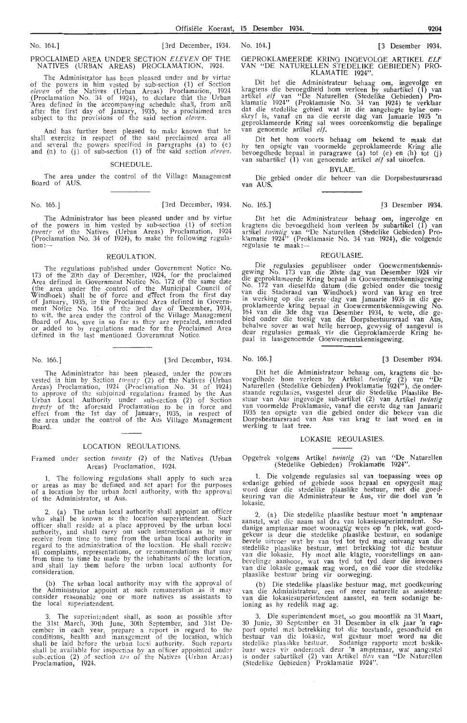#### No. 164.] (3rd December, 1934. No. 164.] (3 Desember **1934.**

#### PROCLAIMED AREA UNDER SECTION *ELEVEN* OF THE NATIVES (URBAN AREAS) PROCLAMATION, 1924.

The Administrator has been pleased under and by virtue of the powers in him vested by sub-section (1) of Section *eleven* of the Natives (Urban Areas) Proclamation, 1924 (Proclamation No. 34 of 1924), to declare that the Urban Area defined in the accompanying schedule shall, from and after the first day of January, 1935, be a proclaimed area subject to the provisions of the said section *eleven*.

And has further been pleased to make known that he shall exercise in respect of the said proclaimed area all and several the powers specified in paragraphs (a) to (e) and (h) to (j) of sub-section (1) of the said section *eleven*.

#### SCHEDULE.

The area under the control of the Village Management Board of AUS.

No. 165.] (3rd December, 1934. No. 165.] (3 Desember **1934.** 

The Administrator has been pleased under and by virtue of the powers in him vested by sub-section  $(1)$  of section twenty of the Natives (Urban Areas) Proclamation, 1924<br>(Proclamation No. 34 of 1924), to make the following regulation:—

#### REGULATION.

The regulations published under Government Notice No. 173 of the 20th day of December, 1924, for· the proclaimed Area defined in Government Notice No. 172 of the same date<br>(the area under the control of the Municipal Council of Windhoek) sball be of force and e7fect from the first day of January, 1935, in the Proclaimed Area defined in Government Notice No. 164 of the 3rd day of December, 1934, to wit. the area under the control of the Village Management Board of Aus, save in so far as they are repealed, amended or added to by regulations made for the Proclaimed Area defined in the last mentioned Government Notice.

No. 166.] [3rd December, 1934. No. 166.] (3 Desember 1934.

The Administrator has been pleased, under the powers vested in him by Section twenty (2) of the Natives (Urban Areas) Proclamation, 1924 (Proclamation No. 34 of 1924) to approve of the subjoined regulations framed by the Aus Urban Local Authority under sub-section (2) of Section twenty of the aforesaid Proclamation to be in force and effect from the 1st day of January, 1935, in respect of the area under the control of the Aus Village Management Board.

#### LOCATION REGULATIONS.

Framed under section *twenty* (2) of the Natives (Urban Areas) Proclamation, 1924.

1. The following regulations shall apply to such area or areas as may be defined and set apart for the purposes of a location by the urban local authority, with the approval of the Administrator, at Aus.

(a) The urban local authority shall appoint an officer who shall be known as the location superintendent. Such officer shall reside at a place approved by the urban local authority, and shall carry out such instructions as he may receive from time to time from the urban local authority in regard to the administration of the location. He shall receive<br>all complaints, representations, or recommendations that may from time to time be made by the inhabitants of the location, and shall lay them before the urban local authority for consideration.

(b) The urban local authority may with the approval of the Administrator appoint at such remuneration as it may consider reasonable one or more natives as assistants to the local superintendent.

3. The superintendent shall, as soon as possible after the 31st March, 30th June, 30th September, and 31st December in each year, prepare a report in regard to the conditions, health and management of the location, which shall be laid before the urban local authority. Such reports shall be available for inspection by an officer appointed under sub-:ection (2) of section *ten* of the Natives (Urban Areas) Proclamation, 1924.

#### OEPROKLAMEERDE KRING INOEVOLOE ARTIKEL *ELF*  VAN "DE NATURELLEN STEDELIKE OEBIEDEN) PRO-KLAMA TIE 1924".

Dit het die Administrateur behaag om, ingevolge en<br>kragtens die bevoegdheid hom verleen by subartikel (1) van<br>artikel *elf* van "De Naturellen (Stedelike Oebieden) Proklamatie 1924'' (Proklamasie No. 34 van 1924) te verklaar dat die stedelike gebied wat in die aangehegte bylae om-<br>skryf is, vanaf en na die eerste dag van Januarie 1935 'n geproklameerde Kring sal wees ooreenkomstig die bepalinge<br>van genoemde artikel *elf.* 

Dit het horn voorts behaag om bekend te maak dat hy ten opsigte van voormelde geproklameerde Kring alle<br>bevoegdhede bepaal in paragrawe (a) tot (e) en (h) tot (j)<br>van subartikel (1) van genoemde artikel *elf* sal uitoefen.

BYLAE.

Die gebied onder die beheer van die Dorpsbestuursraad van AUS.

Dit het die Administrateur behaag om, ingevolge en<br>kragtens die bevoegdheid hom verleen by subartikel (1) van<br>artikel *twintig* van "De Naturellen (Stedelike Oebieden) Proklamatie 1924'' (Proklamasie No. 34 van 1924), die volgende regulasie te maak:--

REOULASIE.

Die regulasies gepubliseer onder Qoewermentskennisgewing No. 173 van die 20ste dag van Desember 1924 vir die geproklameerde Kring bepaal in Ooewermentskennisgewing No. 172 van dieselfde datum (die gebied onder die toesig<br>van die Stadsraad van Windhoek) word van krag en tree in werking op die eerste dag van Januarie 1935 in die geproklameerde kring bepaal .in Ooewermentskennisgewing No. 164 van die 3de dag van Desember 1934, te wete, die ge-<br>bied onder die toesig van die Dorpsbestuursraad van Aus, behalwe sover as wat hulle herroep, gewysig of aangevul is deur regulasies gemaak vir die Geproklameerde Kring bepaal in Iaasgenoemde Ooewermentskennisgewing.

Dit het die Administrateur behaag om, kragtens die bevoegdhede hom verleen by Artikel twintig (2) van "De Naturellen (Stedelike Gebieden) Proklamatie 1924''), die onderstaande regulasies, vasgestel deur die Stedelike Plaaslike Bestuur van Aus ingevolge sub-artikel (2) van Artikel twintig van voormelde Proklamasie, vanaf die eerste dag van Januarie 1935 ten opsigte van die gebied onder die beheer van die Dorpsbestuursraad van Aus van krag te laat word en in werking te laat tree.

#### LOKASIE REOULASIES.

Opgetrek volgens Artikel twintig (2) van "De Naturellen (Stedelike Oebieden) Proklamatfe. 1924".

1. Die volgende regulasies sal van. toepassing wees op sodanige gebied of gebiede soos bepaal en opsygesit mag word deur die stedelike plaaslike \_bestuur, met die goedkeuring van die Administrateur te Aus, vir die doe! van 'n iokasie.

2. (a) Die stedelike plaaslike bestuur moet 'n amptenaar aanstel, wat die naam sal dra van lokasiesuperintendent. Sodanige amptenaar moet woonagtig wees op 'n plek, wat goedgekeur is deur die stedelike plaaslike bestuur, en sodanige bevele uitvoer wat hy van tyd tot tyd mag ontvang van die stedelike plaaslike bestuur, met betrekking tot die bestuur<br>van die lokasie. Hy moet alle klagte, voorstellings en aanbevelinge aanhoor, wat van tyd tot tyd deur die inwoners<br>van die lokasie gemaak mag word, en die voor die stedelike plaaslike bestuur bring vir oorweging.

(b) Die stedelik,e plaaslike bestuur mag, met goedkeuring van die Administrateur, een of meer naturelle as assistente van die lokasie;uperintendent aanstel, en teen sodanige beloning as hy redelik mag ag.

3. Die superintendent moet, so gou moontlik na 31 Maart, 30 Junie, 30 September en 31 Desember in elk jaar 'n rapport opstel met betrekking tot die toestande, gesondheid en bestuur van die lokasie, wat gestuur moet word na die stedelike plaaslike bestuur. Sodanige rapporte moet beskikbaar wees vir ondersoek deur 'n amptenaar, wat aangestel is onder sabartikel (2) van Artikel *tierz* van "De Naturellen (Stedelike Gebieden) Proklamatie 1924".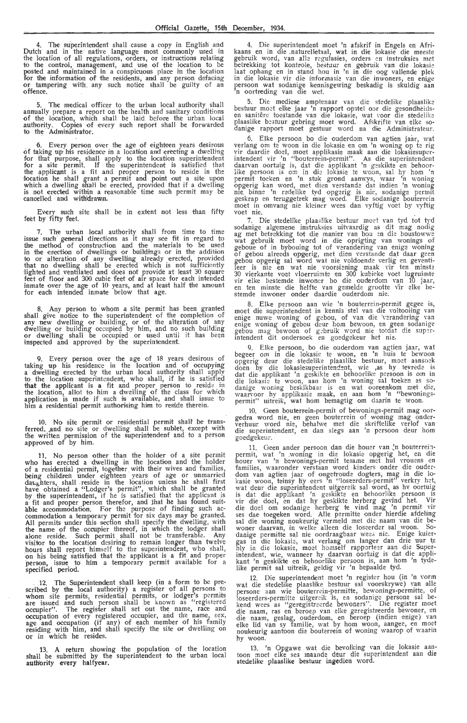4. The superintendent shall cause a copy in English and Dutch and in the native language most commonly used in the location of all regulations, orders, or instructions relating to the control, management, and use of the 1ocation to be posted and maintained in a conspicuous place in the location for the information of the residents, and any person defacing or tampering with any such notice shall be guilty of an offence.

5. The medical officer to the urban local authority shall annually prepare a report on the health and sanitary conditions of the location, which shall be laid before the urban local authority. Copies of every such report shall be forwarded to the Administrator.

6. Every person over the age of eighteen years desirous of taking up his residence in a location and erecting a dwelling for that purpose, shall apply to the location superintendent for a site permit. If the superintendent is satisfied that the applicant is a fit and proper person to reside in the :location he shall grant a permit and \_point out a site upon which a dwelling shal'l be erected, provided that if a dwelling is not erected within a reasonable time such permit may be canoelled and with'drawn.

Every such site shall be in extent not less than fifty feet by fifty feet.

7. The urban local authority shall from time to time issue such general directions as it may see fit in regard to<br>the method of construction and the materials to be used in the erection of dwellings or buildings or in the addition<br>to or alteration of any dwelling already erected, provided that no dwelling shall be erected which is not sufficiently lighted and ventilated and does not provide at least 30 square feet of floor and 300 cubic feet of air space for each intended inmate over the age of 10 years, and at least half the amount for each intended inmate below that age.

8. Any person to whom a site permit has been granted shall give notice to the superintendent of the completion of any new dwelling or building, or of the alteration of any dwelling or building occupied by him, and no such building<br>or dwelling shall be occupied or used until it has been<br>inspected and approved by the superintendent.

9. Every person over the age of 18 years desirous of taking up his residence in the location and of occupying<br>a dwelling erected by the urban local authority shall apply to the location superintendent, who shall, if he is satisfied that the applicant is a fit and proper person to reside in<br>the location, allot to him a dwelling of the class for which application is made if such is available, and shall issue to<br>him a residential permit authorising him to reside therein.

10. No site permit or residential permit shall be transferred, and no site or dwelling shall be sublet, except with the written permission of the superintendent and to a person approved of by him.

11. No person other than the holder of a site permit who has erected a dwelling in the location and the holder of a residential permit, together with their wives and families, being children under eighteen years of age or unmarried dat<sub>re</sub>hters, shall reside in the location unless he shall first<br>have obtained a "Lodger's permit", which shall be granted by the superintendent, if he is satisfied that the applicant is<br>a fit and proper person therefor, and that he has found suitable accommodation. For the purpose of finding such ac-<br>commodation a temporary permit for six days may be granted. All permits under this section shall specify the dwelling, with the name of the occupier thereof, in which the lodger shall alone reside. Such permit shall not be transferable. Any<br>visitor to the location desiring to remain longer than twelve<br>hours shall report himself to the superintendent, who shall,<br>on his being satisfied that the applicant specified period.

12. The Superintendent shall keep (in a form to be prescribed by the local authority) a register of all persons to whom site permits, residential permits, or lodger's permits are issued and such person shall be known as "registered occupier". The register shall set out the name, race and occupation of every registered occupier, and the name, sex, age and occupation (if any) of each member of his family residing with him, and shall specify the site or dwelling on or in which he resides.

13. A return showing the population of the location shall be submitted by the superintendent to the urban local authority every halfyear.

4. Die superintendent moet 'n afskrif in Engels en Afrikaans en in die naturelletaal, wat in die lokasie die meeste gebruik word, van alle regulasies, orders en instruksies met betrekking tot kontrole, bestuur en gebruik van die lokasie laat ophang en in stand hou in 'n in die oog vallende plek in die lokasie vir die informasie van die inwoners, en enige persoon wat sodanige kennisgewing beskadig is skuldig aan<br>'n oortreding van die wet.

5. Die mediese amptenaar van die stedelike plaaslike bestuur moet elke jaar 'n rapport opstel oor die gesondheids-<br>en sanitêre toestande van die lokasie, wat voor die stedelike plaaslike bestuur gebring moet word. Afskrifte van elke so-<br>danige rapport moet gestuur word na die Administrateur.

6. Elke persoon bo die ouderdom van agtien jaar, wat verlang om te woon in die lokasie en om 'n woning op t: rig vir daardie doel, moet applikasie maak aan die lokasiesuper-<br>intendent vir 'n ''bouterrein-permit''. As die superintendent daarvan oortuig is, dat die applikant 'n geskikte en behoorlike persoon is om in die lokasie te woon, sal hy hom 'n permit toeken en 'n stuk grond aamrys, waar 'n woning opgerig kan word, met dien verstande dat indien 'n woning nie binne 'n redelike tyd opgerig is nie, sodanige permit geskrap en teruggetrek mag word. Elke sodanige bouterrein moet in omvang nie kleiner wees dan vyftig voet by vyftig<br>voet nie.

7. Die stedelike plaaslike bestuur moet van tyd tot tyd sodanige algemene instruksies uitvaardig as dit mag nodig ag met betrekking tot die manier van bou en die boustowwe wat gebruik moet word in die oprigting van wonings of geboue of in bybouing tot of verandering van enige woning of gebou alreeds opgerig, met dien verstande dat daar geen gebou opgerig sal word wat nie voldoende verlig en geventileer is nie en wat nie voorsiening maak vir ten minste 30 vierkante vod vloerruimte en 300 kubieke voet lugruimte vir elke bestemde inwoner bo die ouderdom van 10 jaar,<br>en ten minste die helfte van gemelde grootte vir elke bestemde inwoner onder daardie ouderdom nie.

8. Elke persoon aan wie 'n bouterrein-permit gegee is, moet die superintendent in kennis stel van die voltooiing van enige nuwe woning of gebou, of van die 'verandering van enige woning of gebou deur hom bewoon, en geen so gebou mag bewoon of gebruik word nie totdat die super• intendent dit ondersoek en goedgekeur het nie.

9. Elke persoon, bo die ouderdom van agtien jaar, wat begeer om in die lokasie te woon, en 'n huis te bewoon opgerig deur die stedelike plaaslike bestuur, moet aansoek doen by die lokasiesuperintendent, wie ,as hy tevrede is dat die applikant 'n geskikte en behoorlike persoon is om in die lokasie te woon, aan hom 'n woning sal toeken as so-<br>danige woning beskikbaar is en wat ooreenkom met die,<br>waarvoor hy applikasie maak, en aan hom 'n "bewoningspermit" uitreik, wat horn bemagtig om daarin te woon.

10. Geen bouterrein-permit of bewonings-permit mag oor- gedra word nie, en geen bouterrein of woning mag onderverhuur word nie, behalwe met die skriftelike verlof van die superintendent, en dan slegs aan 'n persoon deur horn goedgekeur.

11. Geen ander persoon dan die houer van 'n bouterreinpermit, wat 'n woning in die lokasie opgerig het, en die<br>houer van 'n bewonings-permit tesame met hul vrouens en<br>families, waaronder verstaan word kinders onder die ouderdom van agtien jaar of ongetroude dogters, mag in die lo-<br>kasie woon, teinsy hy eers 'n "loseerders-permit" verkry het, wat deur die superintendent uitgereik sal word, as hy oortuig is dat die applikant 'n geskikte en behoorlike persoon is vir die doel, en dat hy geskikte herberg gevind het. Vir die doel om sodanige herberg te vind mag 'n permit vir<br>ses dae toegeken word. Alle permitte onder hierdie afdeling sal die woning noukeurig vermeld met die naam van die be-<br>woner daarvan, in welke alleen die loseerder sal woon. So-<br>danige permitte sal nie oordraagbaar wee; nie. Enige kuiergas in die lokasie, wat verlang om langer dan drie uur te bly in die lokasie, moet homself rapporteer aan die Superin tendent, wie, wanneer hy daarvan oortuig is dat die appli-<br>kant 'n geskikte en behoorlike persoon is, aan hom 'n tyde-<br>like permit sal uitreik, geldig vir 'n bepaalde tyd.

12. Die superintendent moet 'n register hou (in 'n vorm wat die stedelike plaaslike bestuur sal voorskrywe) van alle persone aan wie bouterrein-permitte, bewonings-permitte, of loseerders-permitte uitgereik is, en sodanige persone sal be-<br>kend wees as "geregistreerde bewoners". Die register moet die naam, ras en beroep van elke geregistreerde bewoner, en<br>die naam, geslag, ouderdom, en beroep (indien enige) van<br>elke lid van sy familie, wat by hom woon, aangee, en moet noukeurig aantoon die bouterrein of woning waarop of waarin hy woon.

13. 'n Opgawe wat die bevolking van die lokasie aan-<br>toon moet elke ses maande deur die superintendent aan die stedelike plaaslike bestuur ingedien word.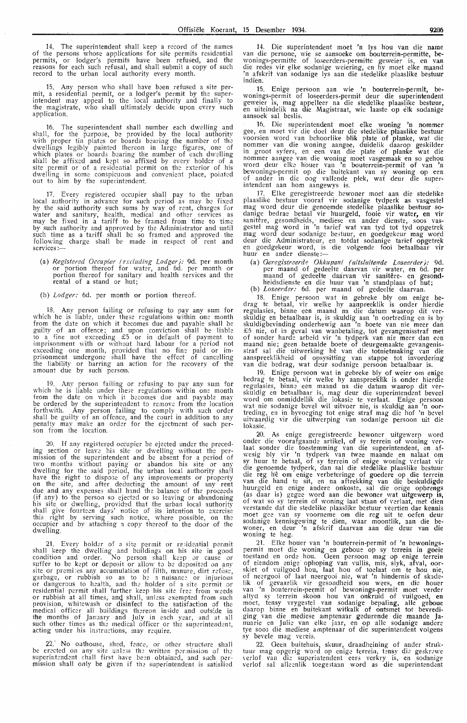14. The superintendent shall keep a record of the names of the persons whose applications for site permits residential permits, or lodger's permits have been refused, and the<br>reasons for each such refusal, and shall submit a copy of such record to the urban local authority every month.

15. Any person who shall have been refused a site permit, a residential permit, or a lodger's permit by the superintendent may appeal to the local authority and finally to the magistrate, who shall ultimately decide upon every such application.

16. The superintendent shall number each dwelling and shall, for the purpose, be provided by the local authority with proper tin plates or boards bearing the number of the dwellings legibly painted thereon in large figures, one of which plates or boards bearing the number of each dwelling sh'all be affixed and kept so affixed by every holder of a<br>site permit or of a residential permit on the exterior of his dwelling in some conspicuous and convenient place, pointed out to him by the superintendent.

17. Every registered occupier shall pay to the urban local authority in advance for such period as may be fixed by the said authority such sums by way of rent, charges for water and sanitary, health, medical and other services as may be fixed in a tariff to be framed from time to time by such authority and approved by the Administrafor and until such time as a tariff shall be so framed and approved the following charge shall be made in respect of rent and services:

(a) *Registered Occupier (excluding Lodger)*: 9d. per month or portion thereof for water, and 6d. per month or portion thereof for sanitary and health services and the rental of a stand or hut;

(b) *Lodger:* 6d. per month or portion thereof.

18. Any person failing or refusing to pay any sum for which he is liable, under these regulations within one month from the date on which it becomes due and payable shall be<br>guilty of an offence; and upon conviction shall be liable to a fine not exceeding £5 or in default of payment to imprisonment with or without hard labour for a period not exceeding one month, provided that no fine paid or imprisonment undergone shall have the effect of cancelling the liability or barring an action for the reoovery of the amount due by such' person<.

19. Any person failing or refusing to pay any sum for which he is liable under these regulations within one month from the date on which it becomes due and payable may be ordered by the superintendent to remove from the location forthwith. Any person failing to comply with such order shall be guilty of an offence, and the court in addition to any penalty may make an order for the ejectment of such per- son from the location.

20. If any registered occupier be ejected under the preceding section or leave his site or dwelling without the permission of the superintendent and be absent for a period of two months without paying or abandon his site or any dwelling for the said period, the urban local authority shall have the right to dispose of any improvements or property on the site, and after deducting the amount of any rent due and any expenses shall hand the balance of the proceeds (if any) to the person so ejected or so leaving or abandoning his site or dwelling, provided that the urban local authority shall give fourteen days' notice of its intention to exercise this right by serving such notice, where possible, on the occupier and by attaching a copy thereof to the door of the dwelling.

21. Every holder of a site permit or residential permit shall keep the dwelling and buildings on his site in good<br>condition and order. No person shall keep or cause or<br>suffer to be kept or deposit or allow to be deposited on any site or premises any accumulation of filth, manure, dirt refuse, garbage, or rubbish so as to be a nuisance or injurious<br>or dangerous to health, and the holder of a site permit or<br>residential permit shall further keep his site free from weeds<br>or rubbish at all times, and shall, unless e provision, whitewash or disinfect to the satisfaction of the medical officer all buildings thereon inside and outs:de in the months of January and July in each year, and at all such other times as the medical officer or the superintendent, acting under his instructions, may require.

22.' No outhouse, shed, fence, or other structure shall be erected on any site unless the written permission of the superintendent shall first have been obtained, and such permission shall only be given if the superintendent is satisfied

14. Die superintendent moet 'n Iys hou van die name van die persone, wie se aansoeke om bouterrein-permitte, bewonings-permitte of loseerders-permitte geweier is, en van<br>die redes vir elke sodanige weiering, en hy moet elke maand 'n afskrif van sodanige lys aan die stedelike plaaslike bestuur indien.

15. Enige persoon aan wie 'n bouterrein-permit, be- \Vonings-permit of loseerders-permit deur die superintendent geweier is, mag appelleer na die stedelike plaaslike bestuur, en uiteindelik na die Magistraat, wie 1aaste op elk sodanige an uiteindelik na die Magistraat, wie 1aaste op elk sodanige aansoek sal beslis.

16. Die superintendent moet elke woning 'n nommer gee, en moet vir die doel deur die stedelike plaaslike bestuur voorsien word van behoorlike blik plate of planke, wat die nommer van die woning aangee, duidelik daarop geskilder in groot syfors, en een van die plate of planke wat die nommer aangee van die woning moet vasgemaak en so gehou word deur elke houer van 'n bouternein-permit of van 'n bewonings-permit op die buitekant van sy woning op een of antler in die oog vallende plek, wat deur die superintendent aan hom aangewys is.

17. Elke geregistreerde bewoner moet aan die stedelike plaaslike bestuur vooraf vir sodanige tydperk as vasgestel mag word deur die genoemde stedelike plaaslike bestuur so-<br>danige bedrae betaal vir h'uurgeld, fooie vir water, en vir sanitêre, gesondheids, mediese en ander dienste, soos vas-<br>gestel mag word in 'n tarief wat van tyd tot tyd opgetrek mag word deur sodanige bestuur, en goedgekeur mag word deur die Administrateur, en totdat sodanige tarief opgetrek<br>en goedgekeur word, is die volgende fooi betaalbaar vir en goedgekeur word, is<br>huur en ander dienste :---

(a) *Geregistreerde Okkupant (uitsluitende Loseerder)*: 9d. per maand of gedeelte daarvan vir water, en 6d. per maand of gedeelte daarvan vir sanitere- en gesondheidsdienste en die huur van 'n standplaas of hut; (b) *Loseerder:* 6d. per maand of gedeelte daarvan.

18. Enige persoon wat in gebreke bly om enige bedrag te betaal, vir welke hy aanpreeklik is onder hierdie regulasies, binne een maand na die datum waarop dit ver-<br>skuldig en betaalbaar is, is skuldig aan 'n oortreding en is by skuldigbevinding onderhewig aan 'n boete van nie meer dan £5 nie, of in geval van wanbetaling, tot gevangenisstraf met of sonder harde arbeid vir 'n tydperk van nie meer dan een<br>maand nie; geen betaalde boete of deurgemaakte gevangenisstraf sal die uitwerking hê van die totnietmaking van die<br>aanspreeklikheid of opsysitting van stappe tot invordering<br>van die bedrag, wat deur sodanige persoon betaalbaar is.

19. Enige persoon wat in gebreke bly of weier om enige bedrag te betaal, vir welke hy aanspreeklik is onder hierdie regulasies, binne een maand na die datum waarop dit ver- skuldig en betaalbaar is, mag deur die superintendent beveel word om onmiddellik die lokasie te verlaat. Enige persoon wat nie sodanige bevel wil uitvoer nie, is skuldig aan 'n oor-<br>treding, en in byvoeging tot enige straf mag die hof 'n bevel uitvaardig vir die uitwerping van sodanige persoon uit die lokasie.

20. As enige geregistreerde bewoner uitgewerp word onder die voorafgaande artikel, of sy terrein of woning ver- laat sonder die toestemming van die superintendent, en afwesig bly vir 'n tydperk van twee maande en nalaat om<br>sy huur te betaal, of sy terrein of enige woning verlaat vir die genoemde tydperk, dan sal die stedelike plaaslike bestuur die reg hê om enige verbeteringe of goedere op die terrein<br>van die hand te sit, en na aftrekking van die beskuldigde huurgeld en enige andere onkoste, sal die orige opbrengs (as daar is) gegee word aan die bewoner wat uitgewerp is, of wat so sy terrein of woning laat staan of verlaat, met dien verstande dat die stedelike plaaslike bestuur veertien dae kennis moet gee van sy voorneme om die reg uit te oefen deur sodanige kennisgewing te dien, waar moontlik, aan die bewoner, en deur 'n afskrif daarvan aan die deur van die woning te heg.

21. Elke houer van 'n bouterrein-permit of 'n bewoningspermit moet die woning en geboue op sy terrein in goeie toestand en orde hou. Oeen persoon mag op enige terrein of eiendom enige, ophoping van vullis, mis, slyk, afval, oor- skiet of vuilgoed hou, laat hou of toelaat om te hou nie, of neergooi of laat neergooi nie, Wat 'n hindernis of skadelik of gevaarlik vir gesondheid sou wees, en die houer<br>van 'n bouterrein-permit of bewonings-permit moet verder altyd sy terrein skoon hou van onkruid of vuilgoed, en<br>moet, tensy vrygestel van sodanige bepaling, alle geboue daarop binne en buitekant witkalk of ontsmet tot bevrediging van die mediese amptenaar gedurende die maande Januarie en Julie van elke jaar, en op alle sodanige andere tye soos die mediese amptenaar of die superintendent volgens sy bevele mag vereis.

22. Geen buitehuis, skuur, draadheining of ander struktuur mag opgerig word op enige terrein, tensy die geskrewe verlof van die superintendent eers verkry is, en sodanige verlof sal alleenlik toegestaan word as die superintendent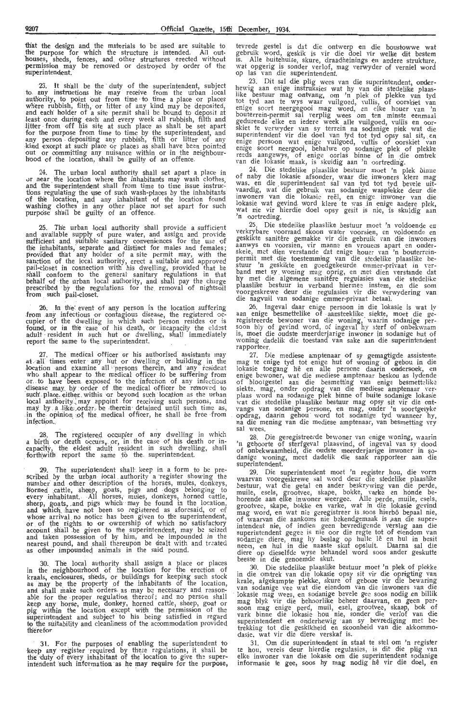th'at the design and the materials to be used are suitable to the purpose for which the structure is intended. All outhouses, sheds, fences, and other structures erected without<br>permission may be removed or destroyed by order of the superintendent.

23. It shall be the duty of the superintendent, subject to any instructions he may receive from the urban local authority, to point out from time to time a place or places where rubbish, filth, or litter of any kind may be deposited, and each' holder of a site permit shall be bound to deposit at least once during each and every week all rubbish, filth and litter from off his site at such place as shall be set apart for the purpose from time to time by the superintendent, and any person depositing any rubbish, filth or litter of any kind except at such place or places as shall have been pointed out or committing any nuisance within or in the neighbourhood of the location, shall be guilty of an offence.

24. The urban local authority shall set apart a place in or near the location where the inhabitants may wash clothes, and the superintendent shall from time to time issue instructions regulating the use of such wash-places by the inhabitants of the location, and any inhabitant of the location found washing clothes in any other place not set apart for such purpose· shall be guilty of an offence.

25. The urban local authority shall provide a sufficient and available supply of pure water, and assign and provide sufficient and suitable sanitary conveniences for the use of the inhabitants, separate and distinct for males and females; prov'ided that any holder of a site permit may, with the sanction of the tocal authority, erect a suitable and approved pail-closet in connection with his dwelling, provided that he<br>shall conform to the general sanitary regulations in that behalf of the urban local authority, and shall pay the charge prescribed by the regulations for the removal of nightsoil from such pail-closet.

26. In the event of any person in the location suffering from any infectious or contagious disease, the registered occupier of the dwelling in which such person resides or 1s found, or in the case of his death, or incapacity the eldest adult resident in such hut or dwelling, shall immediately report the same to the superintendent.

27. The medical officer or his authorised assistants may at all times enter any hut or dwelling or building in the location and examine all persons therein, and any resident who shall appear to the medical officer to be suffering from or to have been exposed to the infection of any infectious disease may by order of the medical officer be removed to such place, either within or beyond such location as the urban local authority may appoint for receiving such persons, and may by a like order, be therein detained until such time as, in the opinion of the medical officer, he shall be free from infection ..

28. The registered occupier of any dwelling in which a birth or death occurs, or, in the case of his death or incapacity, the eldest adult resident in such dwelling, shall forthwith report the same to the superintendent.

29. The superintendent shall keep in a form to be prescribed by the urban local authority a register showing the number and other description of the horses, mules, donkeys, horned cattle, sheep, goats, pigs and dogs belonging to every inhabitant. All horses, mules, donkeys, horned cattle, sheep, goats, and pigs which may be found in the location, and which have not been so registered as aforesaid, or of whose arrival no notice has been given to the superintendent, or of the rights to or ownership of which no satisfactory account shall be given to the superintendent, may be seized and taken possession of by him, and be impounded in the nearest pound, and shall thereupon be dealt with and treated<br>as other impounded animals in the said pound.

30. The local authority shall assign a place or places in the neighbourhood of the location for the erection of kraals, enclosures, sheds, or buildings for keeping such stock<br>as may be the property of the inhabitants of the location, and shall make such orders as may be necessary and reason-<br>able for the proper regulation thereof; and no person shall keep any horse, mule, donkey, horned cattle, sheep, goat or pig within the location except with the permission of the superintendent and subject to his being satisfied in regard to the suitability and cleanliness of the accommodation provided therefor

31. For the purposes of enabling the superintendent to keep any register required by these regulations, it shall be the duty of every inhabitant of the location to give the super-<br>intendent such information as he may require for the purpose,

tevrede gestel is dat die ontwerp en die boustowwe wat gebruik word, geskik is vir die doel vir welke dit bestem is. Alle buitehuise, skure, draadheinings en andere strukture,<br>wat opgerig is sonder verlof, mag verwyder of verniel word op las van die superintendent.

23. Dit sal die plig wees van die superintendent, onderhewig aan enige instruksies wat hy van die stedelike plaas- like bestuur mag ontvang, om 'n plek of plekke van tyd tot tyd aan te wys waar vuilgoed, vullis, of oorskiet van enige soort neergegooi mag word, en elke houer van 'n bouterrein-permit sal verplig wees om ten minste eenmaal gedurende elke en iedere week alle vuilgoed, vullis en oor-<br>skiet te verwyder van sy terrein na sodanige plek wat die superintendent vir die doel van tyd tot tyd opsy sal sit, en enige persoon wat enige vuilgoed, vullis of oorskiet van<br>enige soort neergooi, behalwe op sodanige plek of plekke<br>reeds aangewys, of enige oorlas binne of in die omtrek<br>van die lokasie maak, is skuldig aan 'n oortreding.

24. Die stedelike plaaslike bestuur moet 'n plek binne of naby die lokasie afsonder, waar die inwoners klere mag was. en die superintendent sal van tyd tot tyd bevele uitvaardig, wat die gebruik van sodanige wasplekke deur die inwoners van die lokasie reel, en enige inwoner van die lokasie wat gevind. word klere te \\'as .i n enige andere piek, wat nie vir hierdie doel opsy gesit is nie, is skuldig aan<br>'n oortreding.

25. Die stedelike plaaslike bestuur moet 'n voldoende en verkrybare voorraad skoon water voorsien, en voldoende en geskikte santifere gemakke vir die gebruik van die inwoners geskikte sanitêre gemakke vir die gebruik van die inwoners<br>aanwys en voorsien, vir manne en vrouens apart en onder-<br>skeie, met dien verstande dat enige houer van 'n bouterreinpermit met die toestemming van die stedelike plaaslike bestuur 'n geskikte en goedgekeurde emmer-privaat in verband met sy woning mag oprig, en met dien verstande dat hy met die algemene sanitêre regulasies van die stedelike plaaslike bestuur in verband hiermee instem, en die som<br>voorgeskrewe deur die regulasies vir die verwydering van<br>die nagvuil van sodanige emmer-privaat betaal.

26. Ingeval daar enige persoon in die lokasie is wat ly aan -enige besmettelik,e of aansteeklike siekte, moet die geregistreerde bewoner van die woning, waarin sodanige per- soon bly of gevind word, of ingeval hy sterf of onbekwaam is, moet die oudste meerderjarige inwoner in sodanige hut of woning dadelik die toestand van sake aan die superintendent rapporteer.

27. Die mediese amptenaar of sy gemagtigde assistente mag te enige tyd tot enige hut of woning of gebou in die lokasie toegang hê en alle persone daarin ondersoek, en enige bewoner, wat die mediese amptenaar beskou as lydende<br>of blootgestel aan die besmetting van enige besmettelike<br>siekte, mag, onder opdrag van die mediese amptenaar ver-<br>plaas word na sodanige plek binne of buite sodani wat die stedelike plaaslike bestuur mag opsy sit vir die ontvangs van sodanige persone, en mag, onder 'n soortgelyke opdrag, daarin gehou word tot sodanige tyd wanneer hy, na die mening van die mediese amptenaar, van besmetting vry sal wees.

28. Die geregistreerde bewoner van enige woning, waarin 'n geboorte of sterfgeval plaasvind, of ingeval van sy dood of onbekwaamheid, die oudste meerderjarige inwoner in sodanige woning, moet dadelik die saak rapporteer aan die superintendent.

29. Die superintendent moet 'n register \_hou, die vorm waarvan voorgeskrewe sal word deur die stedelike plaaslike<br>bestuur, wat die getal en ander beskrywing van die perde, muile, esels, grootvee, skape, bokke, varke en honde be-<br>horende aan elke inwoner weergee. Alle perde, muile, esels, grootvee, skape, bokke en varke, wat in die lokasie gevind mag word, en wat nie geregistreer is soos hierbô bepaal nie, of waarvan die aankoms me bekendgemaak 1s ,aan die superintendent nie, of indien geen bevredigende verslag aan die superintendent gegee is nie oor die regte tot of eiendom van sodanige diere, mag hy beslag op hulle lê en hul in besit neem, en hul in die naaste skut opsluit. Daarna sal die diere op dieselfde wyse behandel word soos ander geskutte beeste in die genoemde skut.

30. Die stedelike plaaslike bestuur moet 'n plek of plekke in die omtrek van die lokasie opsy sit vir die oprigting van krale, afgekampte plekke, skure of geboue vir die bewaring van sodanige vee wat die eiendom van die inwoners van die billik<br>Iokasie mag wees, en sodanige bevele gee soos nodig en billik mag blyk vir die behoorlike beheer daarvan, en geen persoon mag enige perd, muil, esel, grootvee, skaap, bok of vark binne die lokasie hou nie, sonder die verlof van die superintendent en onderhewig aan sy bevrediging met betrekking tot die geskikheid en skoonheid van die akkommodasie, wat vir die diere verskaf is.

31. Om die superintendent in staat te stel om 'n register te hou, vereis deur hierdie regulasies, is dit die plig van elke inwoner van die lokasie om die superintendent sodanige informasie te gee, soos hy mag nodig hê vir die doel, en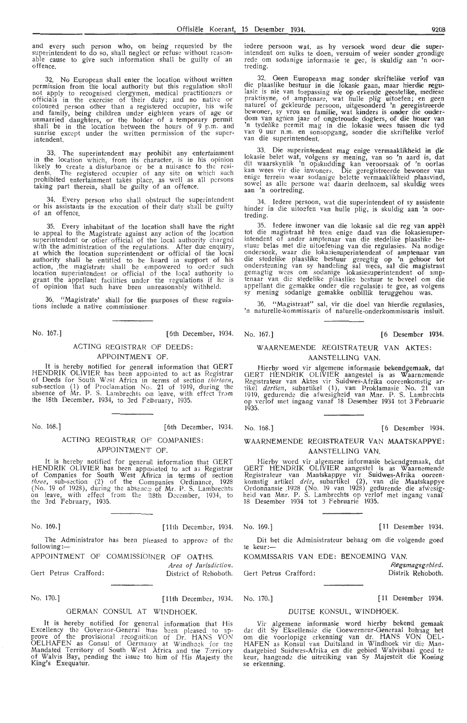and every such person who, on being requested by the superintendent to do so, shall neglect or refuse without reasonable cause to give such information shall be guilty of an offence.

32. No European shall enter the location without written permission from the local authority but this regulation shall<br>not apply to recognised clergymen, medical practitioners or officials in the exercise of their duty; and no native or coloured person other than a registered occupier, his wife and family, being children under eighteen years of age or unmarried daughters, or the holder of a temporary permit shall be in the location between the hours of 9 p.m. and sunrise except under the written permission of the superintendent.

33. The superintendent may prohibit any entertainment in the location which, from its character, is in his opinion<br>likely to create a disturbance or be a nuisance to the residents. The registered occupier of any siie on which such prohibited entertainment takes place, as well as all persons taking part therein, shall be guilty of an offence.

34. Every person who shall obstruct the superintendent or his assistants in the execution of their duty shall be guilty of an offence.

35. Every inhabitant of the location shall have the right to appeal to the Magistrate against any action of the location superintendent or other official of the local authority charged with the administration of the regulations. After due enquiry, at which the location superintendent or official of the local authority shall be entitled to be heard in support of his action, the magistrate shall be empowered to order such location superintendent or official of the local authority to grant the appellant facilities under the regulations if he is of opinion that such have been unreasonably withheld.

36. "Magistrate' shall for the purposes of these regulations include a native commissioner.

No. 167.] [6th December, 1934. No. 167.] [6 Desember 1934.

#### ACTING REGISTRAR OF DEEDS: APPOINTMENT OF.

It is hereby notified for generall information that GERT HENDRIK OLIVIER has been apposinted to act as Registrar of Deeds for South West Africa in terms of section *thirteen*, sub-section (1) of Proclamation No,. 21 of 1919, during the absence of Mr. P. S. Lambrechts om leave, with effect from the 18th December, 1934, to 3rd Feibruary, 1935.

No. 168.] [6th December, 1934.

#### ACTING REGISTRAR OF COMPANIES: APPOINTMENT OF.

It is hereby notified for generall information that GERT HENDRIK OLIVIER has been appointed to act as Registrar of Companies for South \Vest Afirica in terms of section *three,* sub-section (2) of the Gormpanies Ordinance, 1928 (No. 19 of 1928), during the absence of Mr. P. S. Lambrechts on leave, with effect from the !18th December, 1934, to on leave, with effect<br>the 3rd February, 1935.

No. 169.] [ 11th December, 1934. No. 169.) [ **11** Desember **1934.** 

The Administrator has been plieased to approve of the following:-

APPOINTMENT OF COMMISSIONER OF OATHS.

*Area of Jurisdiction.*<br>District of Rehoboth. Oert Petrus Crafford: District of Rehoboth. Gert Petrus Crafford:

GERMAN CONSUL AT WINDHOEK.

It is hereby notified for generral information that His Excellency the Governor-General hias been pleased to approve of the provisional recognition of Dr. HANS VON OELHAFEN as Consul of Germamy at Windhoek for the Mandated Territory of South West Africa and the Territory of Walvis Bay, pending the issue too him of His Majesty the King's Exequatur.

iedere persoon wat, as hy versoek word deur die super-<br>intendent om sulks te doen, versuim of weier sonder grondige rede om sodanige informasie te gee, is skuldig aan 'n oor-treding.

32. Geen Europeaan mag sonder skriftelike verlof van die plaaslike bestuur in die lokasie gaan, maar hierdie regu-<br>lasie is nie van toepassing nie op erkende geestelike, mediese praktisyne, of amptenare, wat hulle plig uitoefen; en geen naturel of gekleurde persoon, uitgesonderd 'n geregistreerde bewoner, sy vrou en familie, wat kinders is onder die ouder-<br>dom van agtien jaar of ongetroude dogters, of die houer van 'n tydelike permit mag in die lokasie wees tussen die tyd van 9 uur n.m. en sonsopgang, sonder die skriftelike verlof<br>van die superintendent.

33. Die superintendent mag enige vermaaklikheid in die lokasie bel-et wat, volgens sy mening, van *so* '.n aard is, dat dit waarskynlik 'n opskudding kan veroorsaak of 'n oorlas kan wees vir die inwoners. Die geregistreerde bewoner van enige terrein waar sodanige belette vermaaklikheid plaasvind, sowel as alle persone wat daarin deelneem, sal skuldig wees aan 'n oortreding.

34. Iedere persoon, wat die superintendent of sy assistente hinder in die uitoefen van hulle plig, is skuldig aan 'n oor-<br>treding.

35. Iedere inwoner van die lokasie sal die reg van appèl tot die magistraat hê teen enige daad van die lokasiesuperintendent of ander amptenaar van die stedelike plaaslike be-<br>stuur belas met die uitoefening van die regulasies. Na nodige stuur belas met die uitoefening van die regulasies. Na nodige<br>ondersoek, waar die lokasiesuperintendent of amptenaar van<br>die stedelike plaaslike bestuur geregtig op 'n gehoor tot ondersteuning van sy handeling sal wees, sal die magistraat gemagtig wees om sodanige lokasiesuperintendent of- amptenaar van die stedelike plaaslike bestuur te beveel om die appellant die gemakke onder die regulasies te gee, as volgens sy mening sodanige gemakke onbillik teruggehou was.

36. "Magistraat" sal, vir die doel van hierdie regulasies, 'n naturelle-kommissaris of naturelle-onderkommissaris insluit.

#### WAARNEMENDE REGISTRATEUR VAN AKTES: AANSTELLING **VAN.**

Hierby word vir algemene informasie bekendgemaak, dat GERT HENDRIK OLIVIER aangestel is as Waarnemende Registrateur van Aktes vir Suidwes-Afrika ooreenkomstig artikel *dertien*, subartikel (1), van Proklamasie No. 21 van<br>1919, gedurende die afwesigheid van Mnr. P. S. Lambrechts op verlof met ingang vanaf 18 Desember 1934 tot 3 Februarie<br>1935.

No. 168.) [6 Desember 1934.

WAARNEMENDE REGISTRATEUR VAN MAATSKAPPYE:

AANSTELLING VAN.

Hierby word vir algemene informasie bekendgemaak, dat GERT HENDRIK OLIVIER aangestel is as Waarnemende Registrateur van Maatskappye vir Suidwes-Afrika oore-enkomstig artikel *drie,* subartikel (2), van die Maatskappye<br>Ordonnansie 1928 (No. 19 van 1928) gedurende die afwesigheid van Mnr. P. S. Lambrechts op verlof met ingang vanaf 18 Desember 1934 tot 3 Februarie 1935.

Dit het die Administrateur behaag om die volgende goed te keur:--

KOMMISSARIS VAN EDE: BENOEMING VAN.

No. 170.) [11th December, 1934. No. 170.] [ 11 Desember 1934.

*Regsmagsg.ebied.*  Distrik Rehoboth.

#### DUITSE KONSUL, WINDHOEK.

Vir algemene informasie word hierby bekend gemaak dat dit Sy Eksellensie die Goewerneur-Generaal behaag het om die voorlopige erkenning van dr. HANS VON OEL-HAFEN as Konsul van Duitsland in Windhoek vir die Mandaatgebied Suidwes-Afrika en die gebied Walvisbaai goed te keur, hangende die uitreiking van Sy Majesteit die Koning se erkenning.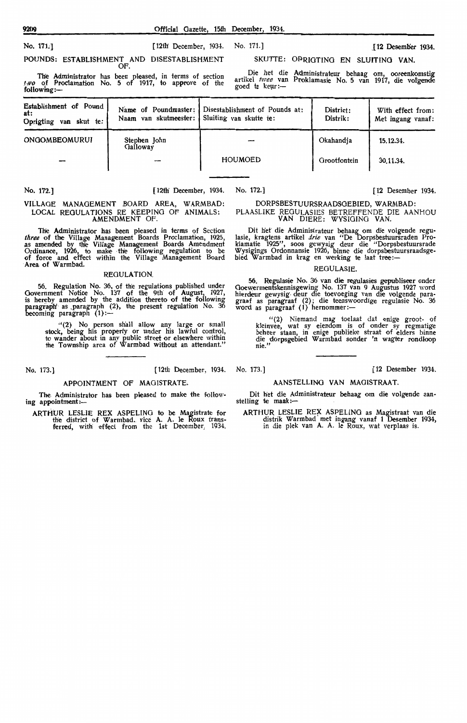No. 171.1 [12th' December, 1934.

POUNDS: ESTABLISHMENT AND DISESTABLISHMENT OF.

The Administrator has been pleased, in terms of section  $1, \nu$ o of Proclamation No. 5 of 1917, to approve of the following:-

Die het die Administrateur behaag om, ooreenkomstig artikel *twee* van Proklamasie No. 5 van 1917, die volgende goed te keur :-

SKUTTE: OPRIGTING EN SLUITING **VAN.** 

| Establishment of Pound<br>at:<br>Oprigting<br>van skut te: | Name of Poundmaster:<br>Naam van skutmeester: | Disestablishment of Pounds at:<br>Sluiting van skutte te: | District:<br>Distrik: | With effect from:<br>Met ingang vanaf: |
|------------------------------------------------------------|-----------------------------------------------|-----------------------------------------------------------|-----------------------|----------------------------------------|
| ONGOMBEOMURUI                                              | Stephen John<br>Galloway                      |                                                           | Okahandia             | 15.12.34.                              |
|                                                            |                                               | <b>HOUMOED</b>                                            | Grootfontein          | 30.11.34.                              |

#### No. 172.] [12th' December, 1934. No. 172.] [12 Desember 1934.

DORPSBESTUURSRAADSGEBIED, WARMBAD:

PLAASLIKE REGULASJES BETREFFENDE DIE AANHOU VAN DIERE: WYSIGING VAN.

Dit bet die· Administrat.eur behaag om die volgende regu- lasie, kragtens artikel *drie* van "De Dorpsbestuursraden Proklamatie 1925", soos gewysig deur die "Dorpsbestuursrade Wysigings Ordonnansie 1926, binne die dorpsbestuursraadsgebied Warmbad in krag en werking te laat tree:—

#### REGULASIE.

56. Regulasie No. 36 van die regulasies gepubliseer onder Goewermentskennisgewing No. 137 van 9 Augustus 1927 word hierdeur gewysig deur die toevoeging van die volgende paragraaf as paragraaf (2) ; die teenswoordige regulasie No. 36 word as paragraaf (1) hernommer:-

" (2) Niemand mag toelaat dat enige groot- of kleinvee, wat sy eiendom is of onder sy regmatige beheer staan, in enige publieke straat of elders binne die dorpsgebied Warmbad sonder 'n wagter rondloop nie."

#### AANSTELLING VAN MAGISTRAAT.

Dit het die Administrateur behaag om die volgende aan- stelling te maak :-

ARTHUR LESLIE RE?{ ASPELING as Magistraat van die distrik Warmbad met ingang vanaf 1 Desember 1934, in die plek van A. A. le Roux, wat verplaas is.

VILLAGE MANAGEMENT ,BOARD AREA, WARMBAD: LOCAL REGULATIONS RE KEEPING OF ANIMALS: AMENDMENT OF.

The Administrator has been pleased in terms of Section *three* of the Village Management Boards Proclamation, 1925, as amended by the Village Management Boards Amendment Ordinance, 1926, to make the following regulation to be of force and effect within the Village Management Board of force and effe

#### REGULATION.

56. Regulation No. 36, of the regulations published under Government Notice No. 137 of the 9th of August, 1927, is hereby amended by the addition thereto of the following paragraph' as paragraph (2), the present regulation No. 36<br>becoming paragraph (1):-

> "(2) No person shall allow any large or small stock, being h'is property or under his lawful control, to wander about in any public street or elsewhere within the Township area of Warmbad without an attendant."

No. 173.] [ 12th December, 1934. No. 173.] [12 Desember 1934.

#### APPOINTMENT OF MAGISTRATE.

The Administrator has been pleased to make the following appointment:-

ARTHUR LESLIE REX ASPELING to be Magistrate for the district of Warmbad .. vice A. A. le Roux transferred, with effect from the 1st December, 1934.

No. 171.] .£12 Deseml>er 1934.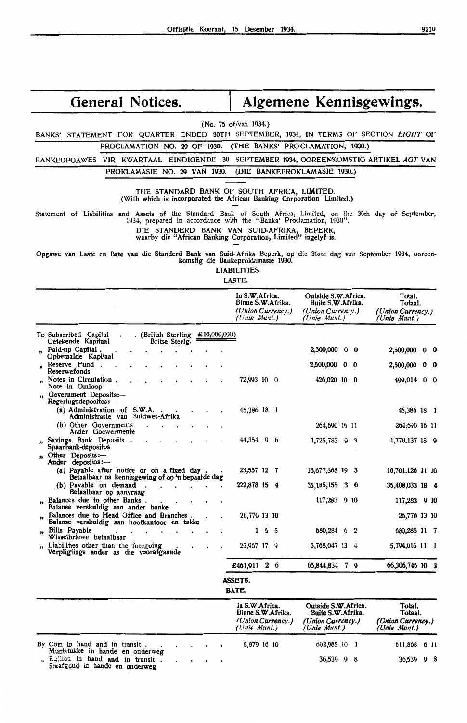# General Notices. | Algemene Kennisgewings.

### (No. 75 of/van 1934.)

BANKS' STATEMENT FOR QUARTER ENDED 30TH SEPTEMBER, 1934, IN TERMS OF SECTION EIGHT OF

## PROCLAMATION NO. 29 OF 1930. (THE BANKS' PROCLAMATION, 1930.)

BANKEOPGAWES VIR KWARTAAL EINDIGENDE 30 SEPTEMBER 1934, OOREENKOMSTIG ARTIKEL AOT VAN PROKLAMASIE NO. 29 VAN 1930. (DIE BANKEPROKLAMASIE 1930.)

THE STANDARD **BANK** OF SOUTH AFRICA, LIMITED. (With which is incorporated the African Banking Corporation Limited.)

Statement of Liabilities and Assets of the Standard Bank of South Africa, Limited, on the 30th day of September, 1934, prepared in acoordance with the "Banks' Proclamation, 1930".

DIE STANDERD BANK VAN SUID-AFRIKA, BEPERK,

waarby die "African Banking Corporation, Limited" ingelyf is.

Opgawe van Laste en Bate van die Standerd Bank van Suid-Afrika Beperk, op die 30ste dag van September 1934, ooreen- komstig die Bankeproklamasie 1930.

LIABILITIES.

LASTE.

|                                                                                                     | In S.W.Africa.<br>Binne S.W.Afrika.<br>(Union Currency.)<br>$(Unie$ Munt.) |               | Outside S.W.Africa.<br>Buite S.W. Afrika.<br>(Union Currency.)<br>(Unie Munt.) |            | Total.<br>Totaal.<br>(Union Currency.)<br>(Unie Munt.) |                 |
|-----------------------------------------------------------------------------------------------------|----------------------------------------------------------------------------|---------------|--------------------------------------------------------------------------------|------------|--------------------------------------------------------|-----------------|
| . (British Sterling $£10,000,000)$<br>To Subscribed Capital<br>Getekende Kapitaal<br>Britse Sterlg. |                                                                            |               |                                                                                |            |                                                        |                 |
| " Paid-up Capital.<br>Opbetaalde Kapitaal                                                           |                                                                            |               | 2,500,000 0 0                                                                  |            | 2,500,000 0 0                                          |                 |
| " Reserve Fund.<br>Reserwefonds                                                                     |                                                                            |               | 2,500,000 0 0                                                                  |            | 2,500,000                                              | $0\quad 0$      |
| " Notes in Circulation.<br>Note in Omloop                                                           | 72,993 10 0                                                                |               | 426,020 10 0                                                                   |            | 499,014 0 0                                            |                 |
| Government Deposits:-<br>Regeringsdepositos:-                                                       |                                                                            |               |                                                                                |            |                                                        |                 |
| (a) Administration of $S.W.A.$ .<br>Administrasie van Suidwes-Afrika                                | 45,386 18 1                                                                |               |                                                                                |            | 45,386 18 1                                            |                 |
| (b) Other Governments<br>Ander Goewermente                                                          |                                                                            |               | 264,690 16 11                                                                  |            | 264,690 16 11                                          |                 |
| " Savings Bank Deposits.<br>Spaarbank-depositos                                                     | 44,354 9 6                                                                 |               | 1,725,783 9 3                                                                  |            | 1,770,137 18 9                                         |                 |
| " Other Deposits:-<br>Ander depositos:-                                                             |                                                                            |               |                                                                                |            |                                                        |                 |
| (a) Payable after notice or on a fixed day.<br>Betaalbaar na kennisgewing of op 'n bepaalde dag     | 23,557 12 7                                                                |               | 16,677,568 19 3                                                                |            | 16,701,126 11 10                                       |                 |
| (b) Pavable on demand.<br>Betaalbaar op aanvraag                                                    | 222,878 15 4                                                               |               | 35, 185, 155                                                                   | $3\quad 0$ | 35,408,033 18 4                                        |                 |
| " Balances due to other Banks.<br>Balanse verskuldig aan ander banke                                |                                                                            |               | 117,283 9 10                                                                   |            | 117,283                                                | 9 <sub>10</sub> |
| " Balances due to Head Office and Branches.<br>Balanse verskuldig aan hoofkantoor en takke          | 26,770 13 10                                                               |               |                                                                                |            | 26,770 13 10                                           |                 |
| " Bills Payable<br>Wisselbriewe betaalbaar                                                          |                                                                            | $1\;\;5\;\;5$ | 680,284 6 2                                                                    |            | 680,285 11 7                                           |                 |
| Liabilities other than the foregoing<br>Verpligtings ander as die voorafgaande                      | 25,967 17 9                                                                |               | 5,768,047 13 4                                                                 |            | 5,794,015 11 1                                         |                 |
|                                                                                                     | £461,911 2 6                                                               |               | 65,844,834 7 9                                                                 |            | 66,306,745 10 3                                        |                 |
|                                                                                                     | <b>ASSETS.</b>                                                             |               |                                                                                |            |                                                        |                 |

**BATE.** 

|                                                                     |  |  |  |  | In S.W.Africa.<br>Binne S.W.Afrika.<br>(Union Currency.)<br>(Unie Munt.) | Outside S.W.Africa.<br>Buite S.W. Afrika.<br>(Union Currency.)<br>'Unie Munt.) | Total.<br>Totaal.<br>(Union Currency.)<br>(Unie Munt.) |  |  |
|---------------------------------------------------------------------|--|--|--|--|--------------------------------------------------------------------------|--------------------------------------------------------------------------------|--------------------------------------------------------|--|--|
| By Coin in hand and in transit.<br>Muntstukke in hande en onderweg  |  |  |  |  | 8.879 16 10                                                              | 602,988 10 1                                                                   | 611,868 6 11                                           |  |  |
| . Bullion in hand and in transit.<br>Staafgoud in hande en onderweg |  |  |  |  |                                                                          | 36,539 9 8                                                                     | $36,539$ 9 8                                           |  |  |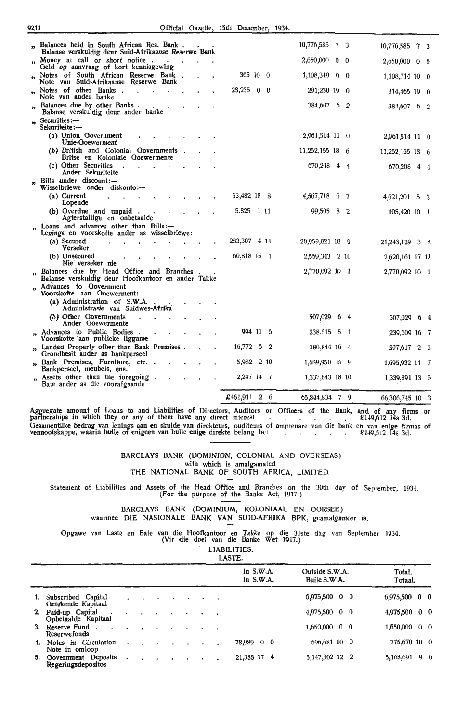|                         | " Balances held in South African Res. Bank.                                                    |  |              |       | 10,776,585 7 3              |    | 10,776,585 7 3  |            |            |
|-------------------------|------------------------------------------------------------------------------------------------|--|--------------|-------|-----------------------------|----|-----------------|------------|------------|
|                         | Balanse verskuldig deur Suid-Afrikaanse Reserwe Bank<br>" Money at call or short notice.       |  |              |       | $2,650,000 \quad 0 \quad 0$ |    | 2,650,000       | $0\quad 0$ |            |
|                         | Geld op aanvraag of kort kennisgewing                                                          |  | 365 10 0     |       |                             |    |                 |            |            |
| <b>b</b>                | Notes of South African Reserve Bank<br>Note van Suid-Afrikaanse Reserwe Bank                   |  |              |       | $1,108,349$ 0 0             |    | 1,108,714 10 0  |            |            |
| 33                      | Notes of other Banks.<br>Note van ander banke                                                  |  | $23,235$ 0 0 |       | 291,230 19 0                |    | 314,465 19 0    |            |            |
|                         | Balances due by other Banks.<br>Balanse verskuldig deur ander banke                            |  |              |       | 384,607 6 2                 |    | 384,607 6 2     |            |            |
|                         | Securities:-<br>Sekuriteite:-                                                                  |  |              |       |                             |    |                 |            |            |
|                         | (a) Union Government<br>Unie-Goewerment                                                        |  |              |       | 2,961,514 11 0              |    | 2,961,514 11 0  |            |            |
|                         | (b) British and Colonial Governments<br>Britse en Koloniale Goewermente                        |  |              |       | 11,252,155 18 6             |    | 11,252,155 18 6 |            |            |
|                         | (c) Other Securities<br>Ander Sekuriteite                                                      |  |              |       | 670,208 4 4                 |    | 670,208 4 4     |            |            |
|                         | Bills under discount:-<br>Wisselbriewe onder diskonto:---                                      |  |              |       |                             |    |                 |            |            |
|                         | (a) Current<br>Lopende                                                                         |  | 53,482 18 8  |       | 4,567,718 6 7               |    | 4,621,201 5 3   |            |            |
|                         | (b) Overdue and unpaid.<br>Agterstallige en onbetaalde                                         |  | 5,825        |       | 99,595 8 2                  |    | 105,420 10 1    |            |            |
| $\overline{\mathbf{r}}$ | Loans and advances other than Bills:-<br>Lenings en voorskotte ander as wisselbriewe:          |  |              |       |                             |    |                 |            |            |
|                         | (a) Seoured<br>Verseker                                                                        |  | 283,307      | 4 1 1 | 20,959,821 18 9             |    | 21,243,129 3 8  |            |            |
|                         | (b) Unsecured<br>Nie verseker nie                                                              |  | 60,818 15 1  |       | 2,559,343 2 10              |    | 2,620,161 17 11 |            |            |
| ,                       | Balances due by Head Office and Branches<br>Balanse verskuldig deur Hoofkantoor en ander Takke |  |              |       | 2,770,092 10 1              |    | 2,770,092 10 1  |            |            |
| ,,                      | Advances to Government<br>Voorskotte aan Goewerment:                                           |  |              |       |                             |    |                 |            |            |
|                         | (a) Administration of S.W.A.<br>Administrasie van Suidwes-Afrika                               |  |              |       |                             |    |                 |            |            |
|                         | (b) Other Governments<br>Ander Goewermente                                                     |  |              |       | 507,029 6 4                 |    | 507,029 6 4     |            |            |
| $^{\prime\prime}$       | Advances to Public Bodies.<br>Voorskotte aan publieke liggame                                  |  | 994 11 6     |       | 238,615 5 1                 |    | 239,609 16 7    |            |            |
|                         | Landed Property other than Bank Premises.<br>Grondbesit ander as bankperseel                   |  | 16,772       | 6 2   | 380,844 16 4                |    | 397,617         |            | $2\quad 6$ |
|                         | Bank Premises, Furniture, etc.<br>Bankperseel, meubels, ens.                                   |  | 5,982        | 2 10  | 1,689,950                   | 89 | 1,695,932 11 7  |            |            |
|                         | Assets other than the foregoing.<br>Bate ander as die voorafgaande                             |  | 2,247 14 7   |       | 1,337,643 18 10             |    | 1,339,891 13 5  |            |            |
|                         |                                                                                                |  | £461,911 2 6 |       | 65,844,834 7 9              |    | 66,306,745 10 3 |            |            |

Aggregate amount of Loans to and Liabilities of Directors, Auditors or partnerships in which they or any of them have any direct interest Officers of the Bank, and of any firms or . £1-19,612 14s 3d. Gesamentlike bedrag van lenings aan en skulde van direkteurs, ouditeurs of amptenare van die bank en van enige firmas of vennootskappe, waarin hulle of enigeen van hulle enige direkte belang het  $$149,612$  14s 3d.

#### BARCLAYS BANK (DOMINION, COLONIAL AND OVERSEAS) with which is amalgamated THE NATIONAL BANK OF SOUTH AFRICA, LIMITED.

Statement of Liabilities and Assets of the Head Office and Branches on the 30th day of September, 1934. (For the purpose of the Banks Act, 1917.)

BARCLAYS BANK (DOMINIUM, KOLONIAAL EN OORSEE) waarmee DIE NASIONALE BANK VAN SUID-AFRIKA BPK, geamalgameer is.

Opgawe van Laste en Bate van die Hoofkantoor en Takke op die 30ste dag van September 1934. (Vir die doel van die Banke Wet 1917.)

LIABILITIES. LASTE.

|    |                                             |  |  |  |           | ------                     |                                |                   |
|----|---------------------------------------------|--|--|--|-----------|----------------------------|--------------------------------|-------------------|
|    |                                             |  |  |  |           | In $S.W.A.$<br>In $S.W.A.$ | Outside S.W.A.<br>Buite S.W.A. | Total.<br>Totaal. |
|    | 1. Subscribed Capital<br>Getekende Kapitaal |  |  |  |           |                            | $6,975,500 \quad 0 \quad 0$    | $6,975,500$ 0 0   |
|    | 2. Paid-up Capital<br>Opbetaalde Kapitaal   |  |  |  |           |                            | $4,975,500$ 0 0                | $4,975,500$ 0 0   |
|    | 3. Reserve Fund.<br>Reserwefonds            |  |  |  | $\bullet$ |                            | $1,650,000 \quad 0 \quad 0$    | 1,550,000 0 0     |
|    | 4. Notes in Circulation<br>Note in omloop   |  |  |  |           | 78,989 0 0                 | 696,681 10 0                   | 775,670 10 0      |
| 5. | Government Deposits<br>Regeringsdepositos   |  |  |  |           | 21,388 17 4                | 5, 147, 302 12 2               | 96<br>5,168,691   |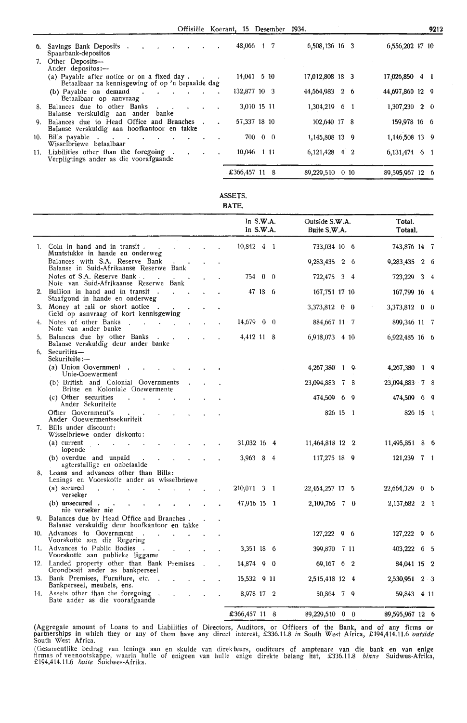Offisiele Koerant, 15 Desember 1934.

| 6.         | Savings Bank Deposits.<br>Spaarbank-depositos                                                   | 48,066 1 7    |  | 6,508,136 16 3  |         | 6,556,202 17 10   |
|------------|-------------------------------------------------------------------------------------------------|---------------|--|-----------------|---------|-------------------|
|            | 7. Other Deposits-<br>Ander depositos:---                                                       |               |  |                 |         |                   |
|            | (a) Payable after notice or on a fixed day.<br>Betaalbaar na kennisgewing of op 'n bepaalde dag | 14,041 5 10   |  | 17,012,808 18 3 |         | 17,026,850 4 1    |
|            | $(b)$ Payable on demand $\cdot$ $\cdot$<br>Betaalbaar op aanvraag                               | 132,877 10 3  |  | 44,564,983 2 6  |         | 44, 697, 860 12 9 |
|            | 8. Balances due to other Banks<br>Balanse verskuldig aan ander banke                            | 3,010 15 11   |  | 1,304,219 6 1   |         | 1,307,230 2 0     |
| <b>Q</b> . | Balances due to Head Office and Branches<br>Balanse verskuldig aan hoofkantoor en takke         | 57,337 18 10  |  | 102,640 17 8    |         | 159,978 16 6      |
| 10.        | Bills payable<br>Wisselbriewe betaalbaar                                                        | 700 0 0       |  | 1,145,808 13 9  |         | 1,146,508 13 9    |
|            | 11. Liabilities other than the foregoing.<br>Verpligtings ander as die voorafgaande             | 10,046 1 11   |  | 6,121,428 4 2   |         | $6,131,474$ 6 1   |
|            |                                                                                                 | £366,457 11 8 |  | 89,229,510      | $0\,10$ | 89,595,967 12 6   |

| с<br>AS<br>ш<br>× |  |
|-------------------|--|

**BATE.** 

|    |                                                                                              |  | In $S.W.A.$<br>In S.W.A. |             | Outside S.W.A.<br>Buite S.W.A. |     |     | Total.<br>Totaal. |                |  |
|----|----------------------------------------------------------------------------------------------|--|--------------------------|-------------|--------------------------------|-----|-----|-------------------|----------------|--|
| 1. | Coin in hand and in transit<br>Muntstukke in hande en onderweg                               |  | 10,842                   | $4 \quad 1$ | 733,034 10 6                   |     |     | 743,876 14 7      |                |  |
|    | Balances with S.A. Reserve Bank<br>Balanse in Suid-Afrikaanse Reserwe Bank                   |  |                          |             | 9,283,435 2 6                  |     |     | 9,283,435         | $2\quad 6$     |  |
|    | Notes of S.A. Reserve Bank.<br>Note van Suid-Afrikaanse Reserwe Bank                         |  | 754 0 0                  |             | 722,475 3 4                    |     |     | 723,229           | 3 <sub>4</sub> |  |
| 2. | Bullion in hand and in transit.<br>Staafgoud in hande en onderweg                            |  | 47 18 6                  |             | 167,751 17 10                  |     |     | 167,799 16 4      |                |  |
|    | 3. Money at call or short notice<br>Geld op aanvraag of kort kennisgewing                    |  |                          |             | 3,373,812 0 0                  |     |     | 3,373,812 0 0     |                |  |
| 4. | Notes of other Banks<br>$\sim$<br>Note van ander banke                                       |  | 14,679 0 0               |             | 884,667 11 7                   |     |     | 899,346 11 7      |                |  |
| 5. | Balances due by other Banks<br>Balanse verskuldig deur ander banke                           |  | 4,412 11 8               |             | 6,918,073 4 10                 |     |     | 6,922,485 16 6    |                |  |
| 6. | Securities-<br>Sekuriteite:—                                                                 |  |                          |             |                                |     |     |                   |                |  |
|    | (a) Union Government.<br>Unie-Goewerment                                                     |  |                          |             | $4,267,380$ 1 9                |     |     | 4,267,380         | 19             |  |
|    | (b) British and Colonial Governments<br>Britse en Koloniale Goewermente                      |  |                          |             | 23,094,883                     | 78  |     | 23,094,883 7 8    |                |  |
|    | (c) Other securities<br>Ander Sekuriteite                                                    |  |                          |             | 474,509<br>- 6                 |     | - 9 | 474,509           | 69             |  |
|    | Other Government's<br>Ander Goewermentssekuriteit                                            |  |                          |             | 826 15 1                       |     |     | 826 15 1          |                |  |
|    | 7. Bills under discount:<br>Wisselbriewe onder diskonto:                                     |  |                          |             |                                |     |     |                   |                |  |
|    | (a) current<br>lopende                                                                       |  | 31,032 16 4              |             | 11,464,818 12 2                |     |     | 11,495,851        | 86             |  |
|    | (b) overdue and unpaid<br>agterstallige en onbetaalde                                        |  | 3,963 8 4                |             | 117,275 18 9                   |     |     | $121,239$ 7 1     |                |  |
|    | 8. Loans and advances other than Bills:<br>Lenings en Voorskotte ander as wisselbriewe       |  |                          |             |                                |     |     |                   |                |  |
|    | $(a)$ secured<br>verseker                                                                    |  | 210,071 3 1              |             | 22,454,257 17 5                |     |     | 22,664,329 0 6    |                |  |
|    | (b) unsecured.<br>nie verseker nie                                                           |  | 47,916 15 1              |             | 2,109,765 7 0                  |     |     | 2, 157, 682 2 1   |                |  |
|    | 9. Balances due by Head Office and Branches.<br>Balanse verskuldig deur hoofkantoor en takke |  |                          |             |                                |     |     |                   |                |  |
|    | 10. Advances to Government<br>Voorskotte aan die Regering                                    |  |                          |             | 127,222 9 6                    |     |     | $127,222$ 9 6     |                |  |
|    | 11. Advances to Public Bodies<br>$\sim$<br>Voorskotte aan publieke liggame                   |  | 3,351 18 6               |             | 399,870                        | 711 |     | 403,222<br>65     |                |  |
|    | 12. Landed property other than Bank Premises<br>Grondbesit ander as bankperseel              |  | 14,874 9 0               |             | 69,167 6 2                     |     |     | 84,041 15 2       |                |  |
|    | 13. Bank Premises, Furniture, etc<br>Bankperseel, meubels, ens.                              |  | 15,532 9 11              |             | 2,515,418 12 4                 |     |     | 2,530,951 2 3     |                |  |
|    | 14. Assets other than the foregoing.<br>Bate ander as die voorafgaande                       |  | 8,978 17 2               |             | 50,864 7 9                     |     |     | 59,843 4 11       |                |  |
|    |                                                                                              |  | £366,457 11 8            |             | 89,229,510 0 0                 |     |     | 89,595,967 12 6   |                |  |

(Aggregate amount of Loans to and Liabilities of Directors, Auditors, or Officers of the Bank, and of any firms or<br>partnerships in which they or any of them have any direct interest, £336.11.8 *in* South West Africa, £194, South West Africa.

(Oesamentlike bedrag van lenings aan en skulde van direkteurs, ouditeurs of amptenare van die bank en van enige firmas of vennootskappe, waarin hulle of enigeen van hulle enige direkte belang het, £336.11.8 *binne* Suidwes-Afrika,<br>£194,414.11.6 *buite* Suidwes-Afrika.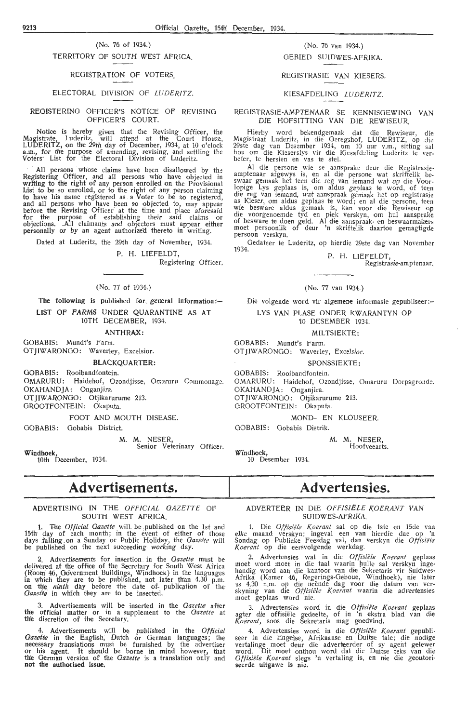## (No. 76 of 1934.)

TERRITORY OF SOUTH WEST AFRICA\_

#### REGISTRATION OF VOTERS.

#### ELECTORAL DIVISION OF LUDERITZ.

#### REGISTERING OFFICER'S NOTICE OF REVISING OFFICER'S COURT.

Notice is hereby given that the Revising Officer, the istrate, Luderitz, will attend at the Court House, Magistrate, Luderitz, will attend at the Court House,<br>LUDERITZ, on the 29th day of December, 1934, at 10 o'clock<br>a.m., for the purpose of amending, revising, and settling the Voters<sup>.</sup> List for the Electoral Division of Luderitz.

All persons whose claims have been disallowed by the Registering Officer, and all persons who have objected in writing to the right of any person enrolled on the Provisional List to be so enrolled, or to the right of any person claiming to have his name registered as a Voter to be so registered, and all persons who have been so objected to, may appear before the Revising Officer at the time and place aforesaid for the purpose of establishing their said claims or objections. .All claimants and objectors must appear either personally or by an agent authorized thereto in writing.

Dated at Luderitz, the 29th day of November, 1934.

P. H. LIEFELDT,

Registering Officer.

#### (No. 77 of 1934.)

The following is published for general information:-LIST OF FARMS UNDER QUARANTINE AS AT 10TH DECEMBER, 1934.

## **ANTHRA;X:**

GOBABIS: Mundt's Farm. OTJIWARONGO: Waverley, Excelsior.

BLACKQUARTER:

GOBABIS: Rooibandfontein.

OMARURU: Haidehof, Ozondjisse, Omaruru Commonage. OKAHANDJA: Onganjira. OTJIWARONGO: Otjikarurume 213. GROOTFONTEIN: Okaputa.

FOOT AND MOUTH DISEASE.

GOBABIS: Gobabis District.

M. M. NESER,

Senior Veterinary Officer.

**Windhoek,**  10th Deoember, 1934.

# **Advertisements.**

#### ADVERTISING IN THE OFFICIAL GAZETTE OF SOUTH WEST AFRICA.

1. The *Official Gazette* will. be published on the 1st and 15th day of each month; in the event of either of those days falling on a Sunday or Public Holiday, the *Gazette* will be published on the next succeeding working day.

2. Advertisements for insertion in the *Gazette* must be delivered at the office of the Secretary for South West Africa (Room 46, Government Buildings, Windhoek) in the languages in which they are to be published, not later than  $4.30$  p.m. on the *ninth* day before the date of- publication of the Gazette in which they are to be inserted.

3. Advertisements will be inserted in the *Gazette* after the official matter or in a supplement to the *Gazette* at the discretion of the Secretary.

4. Advertisements will be published in the *Official*  Gazette in the English, Dutch or German languages; the necessary translations must be furnished by the advertiser or his agent. It should be borne in mind however, that the German version of the *Gazette* is a translation only and **not the authorised issue,** 

#### (No. 76 van 1934.) OEBIED SUIDWES-AFRIKA.

#### REGISTRASIE VAN KIESERS.

#### KIESAFDELING LUDERITZ.

#### REGISTRASIE-AMPTENAAR SE KENNISOEWING VAN DIE HOFSITTINO VAN DIE REWISEUR.

Hierby word bekendgemaak dat die Rewiseur, die Magistraat Luderitz, in die Geregshof, LUDERITZ, op die<br>29ste dag van Desember 1934, om 10 uur v.m., sitting sal hou om die Kieserslys vir die Kiesafdeling Luderitz te ver-<br>befer, te hersien en vas te stel.

Al die persone wie se aansprake deur die Registrasieamptenaar afgewys is, en al die persone wat skriftelik be-<br>swaar gemaak het teen die reg van iemand wat op die Voorlopige Lys geplaas is, om aldus geplaas te word, of teen die reg van iemand, wat aanspraak gemaak het op registrasie<br>as Kieser, om aldus geplaas te word; en al die persone, teen wie besware aldus gemaak is, kan voor die Rewiseur op die voorgenoemde tyd en plek verskyn, om 1ml aansprake of besware te doen geld. Al die aanspraak- en beswaarmak-ers moet persoonlik of deur 'n skriftelik daartoe gemagtigde persoon verskyn.

Gedateer te Luderitz, op hierdie 29ste dag van November 1934.

P. H. LIEFELDT, Registrasie-amptenaar.

#### ( No. 77 van 1934.}

Die volgende word vir algemene informasie gepubliseer :--LYS VAN PLASE ONDER KWARANTYN OP

10 DESEMBER 1934.

MILTSIEKTE:

OOBABIS: Mundt's Farm. OTJIWARONGO: Waverley, Excelsior.

SPONSSIEKTE:

GOBABIS: Rooibandfontein.

OMARURU: Haidehof, Ozondjisse, Omaruru Dorpsgronde. OKAHAND JA: Onganjira. OTJIWARONGO: Otjikarurume 213.

OROOTFONTEIN: Okaputa.

MONO- EN KLOUSEER.

GOBABIS: Oobabis Distrik.

M. M. NESER,

Hoofveearts.

**Windhoek,**  10 Desember 1934.

# **Advertensies.**

#### ADVERTEER IN DIE OFFISIËLE KOERANT VAN SUIDWES-AFRIKA.

1. Die *Offisiële Koerant* sal op die 1ste en 15de van elke maand verskyn; ingeval een van hierdie dae op 'n Sondag op Publieke Feesdag val, dan verskyn die *Offisiële*<br>Koerant op die eersvolgende werkdag.

2. Advertensies wat in die *Offisiële Koerant* geplaas moet word moet in die taal waarin hulle sal verskyn ingehandig word aan die kantoor van die Sekretaris vir Suidwes-<br>Afrika (Kamer 46, Regerings-Geboue, Windhoek), nie moet geplaas word nie.

3. Advertensies word in die Offisiële Koerant geplaas agter die offisiële gedeelte, of in 'n ekstra blad van die<br>*Koerant*, soos die Sekretaris mag goedvind.

4. Advertensies word in die *Offisiële Koerant* gepubli-<br>seer in die Engelse, Afrikaanse en Duitse tale; die nodige<br>vertalinge moet deur die adverteerder of sy agent gelewer word. Dit moet onthou word dat die Duitse teks van die *Offisiële Koerant* slegs 'n vertaling is, en nie die geoutoriseerde uitgawe is nie.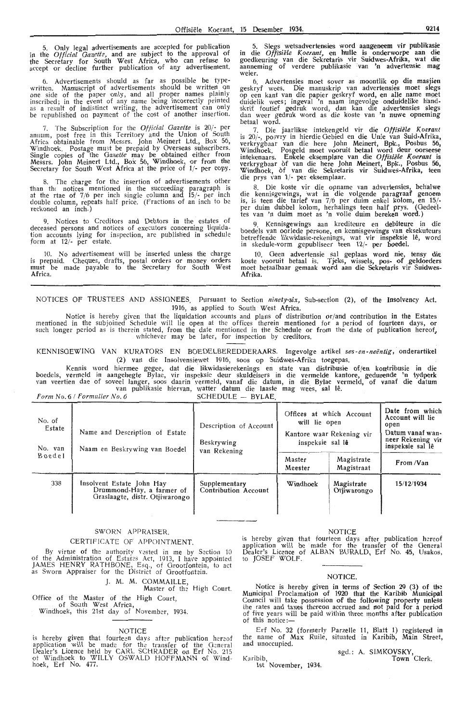Only legal advertisements are accepted for publication in the *Official Gazette*, and are subject to the approval of the Secretary for South West Africa, who can refuse to<br>accept or decline further publication of any advertisement.

6. Advertisements should as far as possible be typewritten. Manuscript of advertisements should be written on<br>one side of the paper only, and all proper names plainly inscribed; in the event of any name betng incorrectly printed as a result of indistinct writing, the advertisement can only be republished on payment of the cost of another insertion.

7. The Subscription for the *Official Gazette* is 20/- per annum, post free in this Territory and the Union of South Africa ' obtainable from Messrs. John Meinert Ltd., Box 56, Windhoek. Postage must be prepaid by Overseas subscribers.<br>Single copies of the *Oazette* may be obtained either from Messrs. John Meinert Ltd., Box 56, Wmdhoek, or from the Secretary for South West Africa at the pric-e of J/- per oopy.

8. The charge for the insertion of advertisements other than the notices mentioned in the succeeding paragraph is at the rtae of  $7/6$  per inch single column and  $15/-$  per inch double column, repeats half price. (Fractions of an inch to be reckoned an inch.)

9. Notioes to Creditors and Debtors in the estates of deceased persons and notioes of executors concerning liquidation accounts lying for inspection, are published in schedule<br>form at 12/- per estate.

10. No advertisement will be inserted unless the charge is prepaid. Cheques, drafts, postal orders or money orders<br>must be made payable to the Secretary for South West Africa.

5. Slegs wetsadvertensies word aangeneem vir publikasie in die *Offisiele Koenmt,* en huHe is onderworpe aan die goedkeuring van die Sekretaris vir Suidwes-Afrika, wat die aanneming of verdere publikasie van 'n advertensie mag weier.

6. Advertensies moet sover as moontlik op die masjien geskryf wees. Die manuskrip van advertensies moet slegs op een kant van die papier geskryf word, en alle name moet duidelik wees; ingeval 'n naam ingevolge onduidelike handskrif foutief g**e**druk word, dan kan die adv**ertensies sleg**s dan weer gedruk word as die koste van 'n nuwe opneming hetaal word.

7. Die jaarlikse intekengeld vir die Offisiële Koerant is 20/-, po3vry in hierdie Gebied en die Unie van Suid-Afrika,<br>verkrygbaar van die here John Meinert, Bpk., Posbus 56, Windhoek. Posgeld moet vooruit betaal word deur oorseese<br>intekenaars. Enkele eksemplare van die *Offisiële Koerant* is verkrygbaar of van die here John Meinert, Bpk., Posbus 56, Windhoek, of van die Sehetaris vir Suidwes-Afrika, teen die prys van 1/- per eksemplaar.

8. Die koste vir die opname van advertensies, behalwe die kennisgewings, wat in die volgende paragraaf genoem is, is teen die tarief van 7/6 per duim enkel kolom, en 15/-<br>per duim dubbel kolom, herhalings teen half prys. (Oedeeltes van 'n duim moet as 'n volle duim bereken word.)

9. Kennisgewings aan krediteure en debiteure in die boedels van oorlede persone, en kennisgewin**gs van e**ksekuteurs betreffende likwidasie-rekenings, wat vir inspeksie lê, word in skedule-vorm gepubliseer teen 12/- per boedel.

10. Geen advertensie sal geplaas word nie, tensy die koste vooruit betaal is. Tjeks, wissels, pos- of geldorders moet betaalbaar gemaak word aan die Sekretaris vir Suidwes-Afrika.

NOTICES OF TRUSTEES AND ASSIGNEES. Pursuant to Section *ninety-six*, Sub-section (2), of the Insolvency Act. 1916, as applied to South West Africa.

Notice is hereby given that the liquidation acoounts and plans of distribution or/and contribution in the Estates mentioned in the subjoined Schedule will lie open at the offices therein mentioned for a period of fourteen days, or<br>such longer period as is therein stated, from the date mentioned in the Schedule or from the date of publ whichever may be later, for inspection by creditors.

KENNISGEWING VAN KURATORS EN BOEDELBEREDDERAARS. Ingevolge artikel ses-en-neëntig, onderartikel (2) van die Insolvensiewet 1916, soos op Suidwes-Afrika toegepas.

Kennis word hiermee gegee, dat die likwidasierekenings en state van distribusie of/en kontribusie in die boedels, vermeld in aangehegte Bylae, vir inspeksie deur skuldeisers in die vermelde kantore, gedurende 'n tydperk<br>van veertien dae of soveel langer, soos daarin vermeld, vanaf die datum, in die Bylae vermeld, of vanaf die

 $Form No. 6 / Formulier No. 6$  SCHEDULE - BYLAE.

| No. of<br>Estate<br>No. van | Name and Description of Estate<br>Naam en Beskrywing van Boedel                          | Description of Account<br>Beskrywing<br>van Rekening | Offices at which Account<br>will lie open<br>Kantore waar Rekening vir<br>inspeksie sal lê | Date from which<br>Account will lie<br>open<br>Datum vanaf wan-<br>neer Rekening vir<br>inspeksie sal lê |            |
|-----------------------------|------------------------------------------------------------------------------------------|------------------------------------------------------|--------------------------------------------------------------------------------------------|----------------------------------------------------------------------------------------------------------|------------|
| Boedel                      |                                                                                          |                                                      | Master<br>Meester                                                                          | Magistrate<br>Magistraat                                                                                 | From/Van   |
| 338                         | Insolvent Estate John Hay<br>Drummond-Hay, a farmer of<br>Graslaagte, distr. Otjiwarongo | Supplementary<br>Contribution Account                | Windhoek                                                                                   | Magistrate<br>Otjiwarongo                                                                                | 15/12/1934 |

#### SWORN APPRAISER.

#### CERTIFICATE OF APPOINTMENT.

By virtue of the authority vested in me by Section 10 of the Administration of Estates Act, 1913, I have appointed JAMES HENRY RATHBONE, Esq., of Grootfontein, to act<br>as Sworn Appraiser for the District of Grootfontein.

J. **M . M.** COMMAILLE,

Master of the High Court. Office of the Master of the High Court,<br>of South West Africa,

Windhoek, this 21st day of November, 1934.

#### NOTICE

is hereby given that fourteen days after publication hereof application will be made for the transfer of the General<br>Dealer's Licence held by CARL SCHRADER on Erf No. 215 ot Windhoek to WILLY OSWALD HOFFMANN of Wind-<br>hoek, Erf No. 477.

#### NOTICE

is hereby given that fourteen days after publication hereof application will be made for the transfer of the General<br>Dealer's Licence of ALBAN BURALD, Erf No. 45, Usakos, to JOSEF WOLF.

#### NOTICE.

Notice is hereby given in terms of Section 29 (3) of the Municipal Proclamation of 1920 that the Karibib Municipal<br>Council will take possession of the following property unless the rates and taxes thereon accrued and not paid for a period of five years will be paid within three months after publication of this notice :-

Erf No. 32 (formerly Parzelle 11, Blatt 1) registered in the name of Max Ruile, situated in Karibib, Main Street,<br>and unoccupied.

Karibib, 1st November, 1934. sgd.: A. SIMKOVSKY, Town Clerk.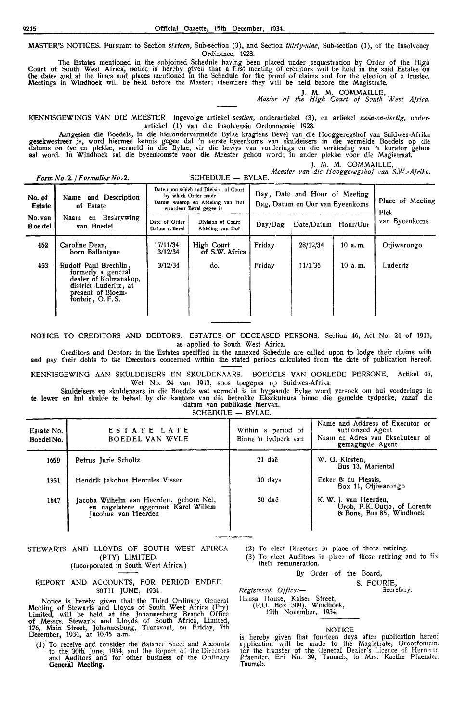**MASTER'S** NOTICES. Pursuant to Section *sixteen,* Sub-section (3), and Section *thirty-nine,* Sub-section (1), of the Insolvency Ordinance, 1928.

The Estates mentioned in the subjoined Schedule having been placed under sequestration by Order of the High Court of South West Africa, notice is hereby given that a first meeting of creditors will be held in the said Estates on the dates and at the times and places mentioned in the Schedule for the proof of claims and for the election of a trustee. Meetings in Windhoek will be held before the Master; elsewhere they will be held before the Magistrate.

J. M. M. COMMAILLE, *Master of the High Court of S:mth West Africa.* 

KENNISGEWINGS VAN DIE MEESTER. Ingevolge artiekel sestien, onderartiekel (3), en artiekel neën-en-dertig, onderartiekel (1) van die Insolvensie Ordonnansie 1928.

Aangesiert die Boedels, in die hierondervermelde Bylae kragtens Bevel van die Hooggeregshof van Suidwes-Afrika gesekwestreer is, word hiermee kennis gegee dat 'n eerste byeenkoms van skuldeisers in die vermelde Boedels op die datums en tye en plekke, vermeld in die Bylae, vir die bewys van vorderings en die verkiesing van 'n kurator gehou **sal word. In Windhoe**k sal die byeenkomste voor die Meester gehou word; in ander plekke voor die Magistraat.

J. M. M. COMMAILLE,

*M.eester van die Hooggeregshof van S.W.-Afrika.* 

| Form No. 2. / Formulier No. 2. |                                                                                                                                       |                                                                                                                             |                                       | necsier van die Hooggeregshof van Sirrenfinal.                   |            |           |                          |  |
|--------------------------------|---------------------------------------------------------------------------------------------------------------------------------------|-----------------------------------------------------------------------------------------------------------------------------|---------------------------------------|------------------------------------------------------------------|------------|-----------|--------------------------|--|
| No. of<br>Estate               | Name and Description<br>of Estate                                                                                                     | Date upon which and Division of Court<br>by which Order made<br>Datum waarop en Afdeling van Hof<br>waardeur Bevel gegee is |                                       | Day, Date and Hour of Meeting<br>Dag, Datum en Uur van Byeenkoms |            |           | Place of Meeting<br>Plek |  |
| No. van<br>B oe del            | en Beskrywing<br>Naam<br>van Boedel                                                                                                   |                                                                                                                             | Division of Court<br>Afdeling van Hof | Day/Dag                                                          | Date/Datum | Hour/Uur  | van Byeenkoms            |  |
| 452                            | Caroline Dean,<br>born Ballantyne                                                                                                     | 17/11/34<br>3/12/34                                                                                                         | High Court<br>of S.W. Africa          | Friday                                                           | 28/12/34   | 10 a.m.   | Otiiwarongo              |  |
| 453                            | Rudolf Paul Brechlin,<br>formerly a general<br>dealer of Kolmanskop,<br>district Luderitz, at<br>present of Bloem-<br>fontein, O.F.S. | 3/12/34                                                                                                                     | do.                                   | Fridav                                                           | 11/1.35    | $10$ a.m. | Luderitz                 |  |

NOTICE TO CREDITORS AND DEBTORS. ESTATES OF DECEASED PERSONS. Section 46, Act No. 24 of 1913, as applied to South West Africa.

Creditors and Debtors in the Estates specified in the annexed Schedule are called upon to lodge their claims with and pay their debts to the Executors concerned within the stated periods calculated from the date of publication hereof.

l<ENNISOEWING AAN SKULDEISERS EN SKULDENAARS. BOEDELS VAN OORLEDE PERSONE. Artikel 46, Wet No. 24 van 1913, soos toegepas op Suidwes-Afrika.

Skuldeisers en skuldenaars in die Boedels wat vermeld is in bygaande Bylae word versoek om hul vorderings in te lewer en hul skulde te betaal by die kantore van die betrokke Eksekuteurs binne die gemelde tydperke, vanaf die datum van publikasie hiervan.

SCHEDULE - BYLAE.

| Estate No.<br>Boedel No. | ESTATE LATE<br>BOEDEL VAN WYLE                                                                        | Within a period of<br>Binne 'n tydperk van | Name and Address of Executor or<br>authorized Agent<br>Naam en Adres van Eksekuteur of<br>gemagtigde Agent |
|--------------------------|-------------------------------------------------------------------------------------------------------|--------------------------------------------|------------------------------------------------------------------------------------------------------------|
| 1659                     | Petrus Jurie Scholtz                                                                                  | 21 daë                                     | W. G. Kirsten,<br>Bus 13, Mariental                                                                        |
| 1351                     | Hendrik Jakobus Hercules Visser                                                                       | 30 days                                    | Ecker & du Plessis.<br>Box 11, Otiiwarongo                                                                 |
| 1647                     | Jacoba Wilhelm van Heerden, gebore Nel,<br>en nagelatene eggenoot Karel Willem<br>Jacobus van Heerden | 30 daë                                     | K. W. J. van Heerden,<br>Urob, P.K. Outjo, of Lorentz<br>& Bone, Bus 85, Windhoek                          |

#### STEWARTS AND LLOYDS OF SOUTH WEST AFIRCA (PTY) LIMITED. (Incorporated in South West Africa.)

#### REPORT AND ACCOUNTS, FOR PERIOD ENDED 30TH JUNE, 1934.

Notice is hereby given that the Third Ordinary General<br>Meeting of Stewarts and Lloyds of South West Africa (Pty) Limited, will be held at the Johannesburg Branch Office of Messrs. Stewarts and Lloyds of South Africa, Limited, 176, Main Street, Johannesburg, Transvaal, on Friday, 7th December, 1934, at 10.45 a.m.

(1) To receive and consider the Balance Sheet and Accounts to the 30th! June, 1934, and the Report of the Directors and Auditors and for other business of the Ordinarv General Meeting.

- (2) To elect Directors in place of those retiring.
- (3) To elect Auditors in place of those retiring and to fix their remuneration.

By Order of the Board,

S. FOURIE,

*R,egistered Offic:e:-* Hansa House, Kaiser Street, (P.O. Box 309), Windhoek, Secretary.

12th November, 1934.

#### NOTICE

is hereby given that fourteen days after publication hereo:<br>application will be made to the Magistrate, Grootfontein. for the transfer of the General Dealer's Licence of Herman:<br>Pfaender, Erf No. 39, Tsumeb, to Mrs. Kaethe Pfaender. Tsumeb.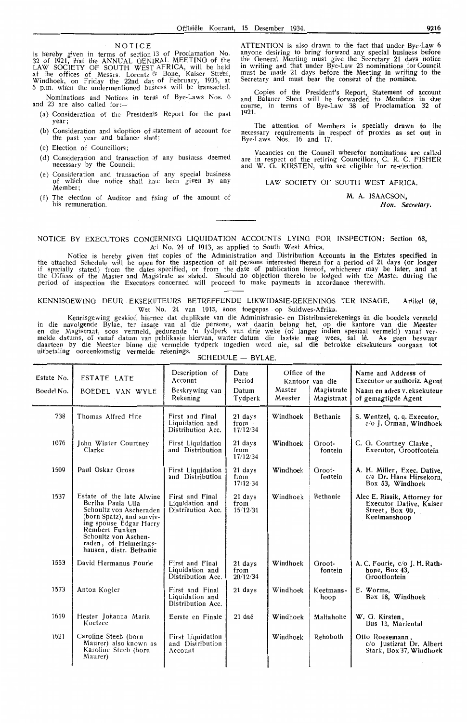#### NOTICE

is hereby given in terms of section 13 of Proclamation No. 32 of 1921, that the ANNUAL GENERAL MEETING of the LAW SOCIETY OF SOUTH WEST AFRICA, will be held at the offices of Messrs. Lorentz & Bone, Kaiser Street,<br>Windhoek, on Friday the 22nd day of February, 1935, at 5 p.m. when the undermentioned busness will be transacted.

Nominations and Notices in terns of Bye-Laws Nos. 6 and 23 are also called for:-

- (a) Consideration of the Presidents Report for the past vear:
- (b) Consideration and adoption of statement of account for the past year and balance shed;
- (c) Election of Councillors;
- (d) Consideration and transaction of any business deemed necessary by the Council;
- (e) Consideration and transaction of any special business of which due notice shall have been given by any Member;
- (f) The election of Auditor and fixing of the amount of his remuneration.

ATTENTION is also drawn to the fact that under Bye-Law 6 anyone desiring to bring forward any special business before the General Meeting must give the Secretary 21 days notice in writing and that under Bye-Law 23 nominations for Council<br>must be made 21 days before the Meeting in writing to the Secretary and must bear the consent of the nominee.

Copies of the President's Report, Statement of account and Balance Sheet will be forwarded to Members in due course, in terms of Bye-Law 38 .of Proclamation 32 of 1921.

The attention of Members is specially drawn to the necessary requirements in respect of proxies as set out in Bye-Laws Nos. 16 and 17.

Vacancies on the Council wherefor nominations are called in respect of the retiring Councillors, C. R. C. FISHER and W. G. KIRSTEN, who are eligible for re-election.<br>and W. G. KIRSTEN, who are eligible for re-election.

#### LAW SOCIETY OF SOUTH WEST AFRICA.

M. A. ISAACSON, Hon. Secretary.

#### NOTICE BY EXECUTORS CONCERNING LIQUIDATION ACCOUNTS LYING FOR INSPECTION: Section 68, Act No. 24 of 1913, as applied to South West Africa.

Notice is hereby given that copies of the Administration and Distribution Accounts in the Estates specified in the attached Schedule will be open for the inspection of alt persons interested therein for a period of 21 days (or longer if specially stated) from the dates specified, or from the date of publication hereof, whichever may be later, and at the Offices of the Master and Magistrate as stated. Should no objection thereto be lodged with the Master during the period of inspection the Executors concerned will proceed to make payments in accordance therewith.

KENNISGEWING DEUR EKSEKVTEURS BETREFFENDE LIKWIDASIE-REKENINGS TER **INSAGE.** Artikel 68, Wet No. 24 van 1913, soos toegepas op Suidwes-Afrika.

Kennisgewing geskied hiernee dat duplikate van die Administrasie- en Distribusierekenings in die boedels vermeld in die navolgende Bylae, ter insage van al die persone, wat daarin belang het, op die kantore van die Meester<br>en die Magistraat, soos vermeld, gedurende 'n tydperk van drie weke (of langer indien spesiaal vermeld) vanaf melde datums, of vanaf datum van publikasie hiervan, watter datum die laatste mag wees, sal lê. As geen beswaar daarteen by die Meester binne die vermelde tydperk ingedien word nie, sal die betrokke eksekuteurs oorgaan tot uitbetaling ooreenkomstig vermelde rekenings.

| Estate No.<br>Boedel No. | <b>ESTATE LATE</b><br>BOEDEL VAN WYLE                                                                                                                                                                                          | Description of<br>Account<br>Beskrywing van<br>Rekening | Date<br>Period<br>Datum<br>Tydperk | Office of the<br>Master<br>Meester | Kantoor van die<br>Magistrate<br>Magistraat | Name and Address of<br>Executor or authoriz. Agent<br>Naam en adres v. eksekuteur<br>of gemagtigde Agent |
|--------------------------|--------------------------------------------------------------------------------------------------------------------------------------------------------------------------------------------------------------------------------|---------------------------------------------------------|------------------------------------|------------------------------------|---------------------------------------------|----------------------------------------------------------------------------------------------------------|
| 738                      | Thomas Alfred Hite                                                                                                                                                                                                             | First and Final<br>Liquidation and<br>Distribution Acc. | 21 days<br>from<br>17/12/34        | Windhoek                           | Bethanie                                    | S. Wentzel, q. q. Executor,<br>c/o J. Orman, Windhoek                                                    |
| 1076                     | John Winter Courtney<br>Clarke                                                                                                                                                                                                 | <b>First Liquidation</b><br>and Distribution            | 21 days<br>from<br>17/12/34        | Windhoek                           | Groot-<br>fontein                           | C. G. Courtney Clarke,<br>Executor, Grootfontein                                                         |
| 1509                     | Paul Oskar Gross                                                                                                                                                                                                               | First Liquidation<br>and Distribution                   | 21 days<br>from<br>17/12 34        | Windhoek                           | Groot-<br>fontein                           | A. H. Miller, Exec. Dative,<br>c/o Dr. Hans Hirsekorn,<br>Box 53, Windhoek                               |
| 1537                     | Estate of the late Alwine<br>Bertha Paula Ulla<br>Schoultz von Ascheraden<br>(born Spatz), and surviv-<br>ing spouse Edgar Harry<br>Rembert Funken<br>Schoultz von Aschen-<br>raden, of Helmerings-<br>hausen, distr. Bethanie | First and Final<br>Liquidation and<br>Distribution Acc. | 21 days<br>from<br>15/12/34        | Windhoek                           | <b>Bethanie</b>                             | Alec E. Rissik, Attorney for<br>Executor Dative, Kaiser<br>Street, Box 90.<br>Keetmanshoop               |
| 1553                     | David Hermanus Fourie                                                                                                                                                                                                          | First and Final<br>Liquidation and<br>Distribution Acc. | 21 days<br>from<br>20/12/34        | Windhoek                           | Groot-<br>fontein                           | A. C. Fourie, c/o J. H. Rath-<br>bone, Box 43.<br>Grootfontein                                           |
| 1573                     | Anton Kogler                                                                                                                                                                                                                   | First and Final<br>Liquidation and<br>Distribution Acc. | 21 days                            | Windhoek                           | Keetmans-<br>hoop                           | E. Worms,<br>Box 18, Windhoek                                                                            |
| 1619                     | Hester Johanna Maria<br>Koetzee                                                                                                                                                                                                | Eerste en Finale                                        | 21 daë                             | Windhoek                           | Maltahohe                                   | W. G. Kirsten,<br>Bus 13, Mariental                                                                      |
| 1621                     | Caroline Steeb (born<br>Maurer) also known as<br>Karoline Steeb (born<br>Maurer)                                                                                                                                               | First Liquidation<br>and Distribution<br>Account        |                                    | Windhoek                           | Rehoboth                                    | Otto Roesemann,<br>c/o Justizrat Dr. Albert<br>Stark, Box 37, Windhoek                                   |
|                          |                                                                                                                                                                                                                                |                                                         |                                    |                                    |                                             |                                                                                                          |

 $S$ CHEDULE  $-$  BYLAE.